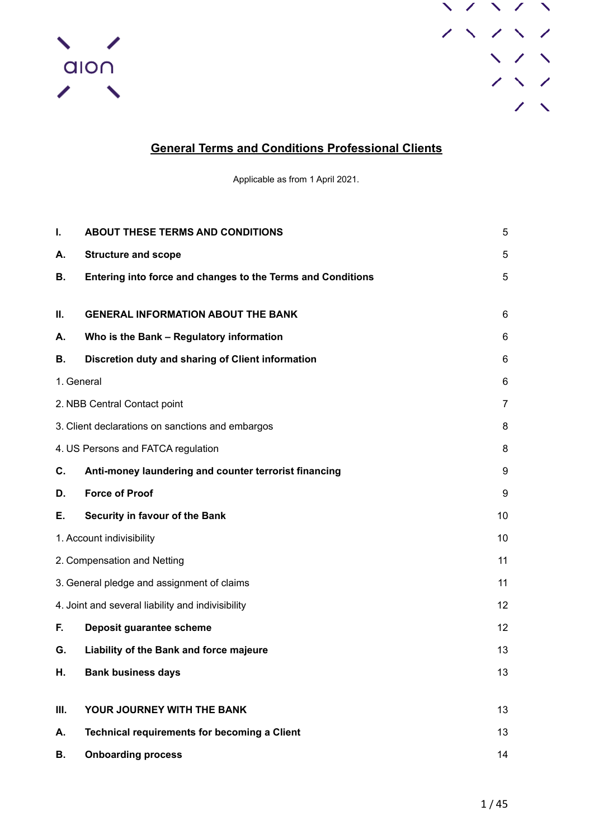



# **General Terms and Conditions Professional Clients**

Applicable as from 1 April 2021.

| I.                           | <b>ABOUT THESE TERMS AND CONDITIONS</b>                                                                                                                                                                                       | 5  |
|------------------------------|-------------------------------------------------------------------------------------------------------------------------------------------------------------------------------------------------------------------------------|----|
| А.                           | <b>Structure and scope</b>                                                                                                                                                                                                    | 5  |
| В.                           | Entering into force and changes to the Terms and Conditions                                                                                                                                                                   | 5  |
|                              |                                                                                                                                                                                                                               |    |
| П.                           | <b>GENERAL INFORMATION ABOUT THE BANK</b>                                                                                                                                                                                     | 6  |
| А.                           | Who is the Bank - Regulatory information                                                                                                                                                                                      | 6  |
| В.                           | Discretion duty and sharing of Client information                                                                                                                                                                             | 6  |
| 1. General                   |                                                                                                                                                                                                                               | 6  |
| 2. NBB Central Contact point |                                                                                                                                                                                                                               | 7  |
|                              | 3. Client declarations on sanctions and embargos                                                                                                                                                                              | 8  |
|                              |                                                                                                                                                                                                                               | 8  |
| C.                           | Anti-money laundering and counter terrorist financing                                                                                                                                                                         | 9  |
| D.                           | <b>Force of Proof</b>                                                                                                                                                                                                         | 9  |
| Е.                           | Security in favour of the Bank                                                                                                                                                                                                | 10 |
|                              |                                                                                                                                                                                                                               | 10 |
|                              | 4. US Persons and FATCA regulation<br>1. Account indivisibility<br>2. Compensation and Netting<br>3. General pledge and assignment of claims<br>4. Joint and several liability and indivisibility<br>Deposit guarantee scheme |    |
|                              |                                                                                                                                                                                                                               | 11 |
|                              |                                                                                                                                                                                                                               | 12 |
| F.                           |                                                                                                                                                                                                                               | 12 |
| G.                           | Liability of the Bank and force majeure                                                                                                                                                                                       | 13 |
| Н.                           | <b>Bank business days</b>                                                                                                                                                                                                     | 13 |
|                              |                                                                                                                                                                                                                               |    |
| Ш.                           | YOUR JOURNEY WITH THE BANK                                                                                                                                                                                                    | 13 |
| А.                           | <b>Technical requirements for becoming a Client</b>                                                                                                                                                                           | 13 |
| В.                           | <b>Onboarding process</b>                                                                                                                                                                                                     | 14 |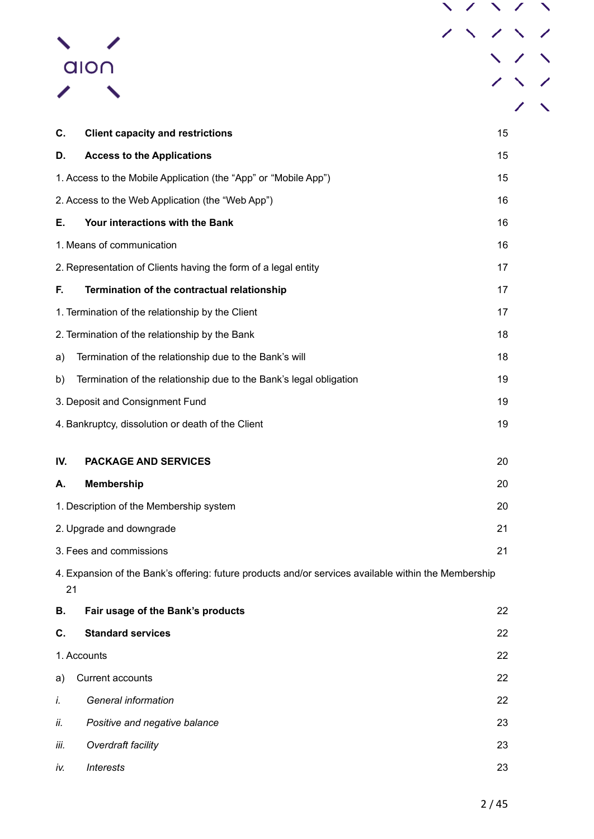|      | alon                                                                                                 |  |    |  |
|------|------------------------------------------------------------------------------------------------------|--|----|--|
|      |                                                                                                      |  |    |  |
|      |                                                                                                      |  |    |  |
| C.   | <b>Client capacity and restrictions</b>                                                              |  | 15 |  |
| D.   | <b>Access to the Applications</b>                                                                    |  | 15 |  |
|      | 1. Access to the Mobile Application (the "App" or "Mobile App")                                      |  | 15 |  |
|      | 2. Access to the Web Application (the "Web App")                                                     |  | 16 |  |
| Е.   | Your interactions with the Bank                                                                      |  | 16 |  |
|      | 1. Means of communication                                                                            |  | 16 |  |
|      | 2. Representation of Clients having the form of a legal entity                                       |  | 17 |  |
| F.   | Termination of the contractual relationship                                                          |  | 17 |  |
|      | 1. Termination of the relationship by the Client                                                     |  | 17 |  |
|      | 2. Termination of the relationship by the Bank                                                       |  | 18 |  |
| a)   | Termination of the relationship due to the Bank's will                                               |  | 18 |  |
| b)   | Termination of the relationship due to the Bank's legal obligation                                   |  | 19 |  |
|      | 3. Deposit and Consignment Fund                                                                      |  | 19 |  |
|      | 4. Bankruptcy, dissolution or death of the Client                                                    |  | 19 |  |
| IV.  | <b>PACKAGE AND SERVICES</b>                                                                          |  | 20 |  |
| А.   | <b>Membership</b>                                                                                    |  | 20 |  |
|      | 1. Description of the Membership system                                                              |  | 20 |  |
|      | 2. Upgrade and downgrade                                                                             |  | 21 |  |
|      | 3. Fees and commissions                                                                              |  | 21 |  |
| 21   | 4. Expansion of the Bank's offering: future products and/or services available within the Membership |  |    |  |
| В.   | Fair usage of the Bank's products                                                                    |  | 22 |  |
| C.   | <b>Standard services</b>                                                                             |  | 22 |  |
|      | 1. Accounts                                                                                          |  | 22 |  |
| a)   | Current accounts                                                                                     |  | 22 |  |
| İ.   | General information                                                                                  |  | 22 |  |
| ii.  | Positive and negative balance                                                                        |  | 23 |  |
| iii. | Overdraft facility                                                                                   |  | 23 |  |
| iv.  | <b>Interests</b>                                                                                     |  | 23 |  |
|      |                                                                                                      |  |    |  |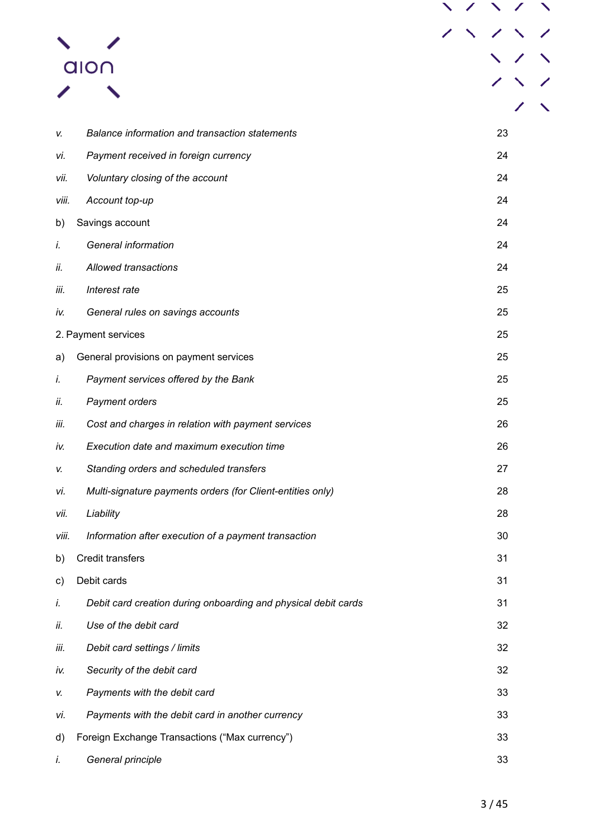|       | alo∩                                                           |  |    |  |
|-------|----------------------------------------------------------------|--|----|--|
|       |                                                                |  |    |  |
|       |                                                                |  |    |  |
| V.    | Balance information and transaction statements                 |  | 23 |  |
| VÍ.   | Payment received in foreign currency                           |  | 24 |  |
| vii.  | Voluntary closing of the account                               |  | 24 |  |
| viii. | Account top-up                                                 |  | 24 |  |
| b)    | Savings account                                                |  | 24 |  |
| i.    | General information                                            |  | 24 |  |
| ii.   | Allowed transactions                                           |  | 24 |  |
| iii.  | Interest rate                                                  |  | 25 |  |
| iv.   | General rules on savings accounts                              |  | 25 |  |
|       | 2. Payment services                                            |  | 25 |  |
| a)    | General provisions on payment services                         |  | 25 |  |
| İ.    | Payment services offered by the Bank                           |  | 25 |  |
| ii.   | Payment orders                                                 |  | 25 |  |
| iii.  | Cost and charges in relation with payment services             |  | 26 |  |
| iv.   | Execution date and maximum execution time                      |  | 26 |  |
| V.    | Standing orders and scheduled transfers                        |  | 27 |  |
| vi.   | Multi-signature payments orders (for Client-entities only)     |  | 28 |  |
| vii.  | Liability                                                      |  | 28 |  |
| viii. | Information after execution of a payment transaction           |  | 30 |  |
| b)    | Credit transfers                                               |  | 31 |  |
| C)    | Debit cards                                                    |  | 31 |  |
| İ.    | Debit card creation during onboarding and physical debit cards |  | 31 |  |
| ii.   | Use of the debit card                                          |  | 32 |  |
| İΪİ.  | Debit card settings / limits                                   |  | 32 |  |
| iv.   | Security of the debit card                                     |  | 32 |  |
| V.    | Payments with the debit card                                   |  | 33 |  |
| vi.   | Payments with the debit card in another currency               |  | 33 |  |
| d)    | Foreign Exchange Transactions ("Max currency")                 |  | 33 |  |
| İ.    | General principle                                              |  | 33 |  |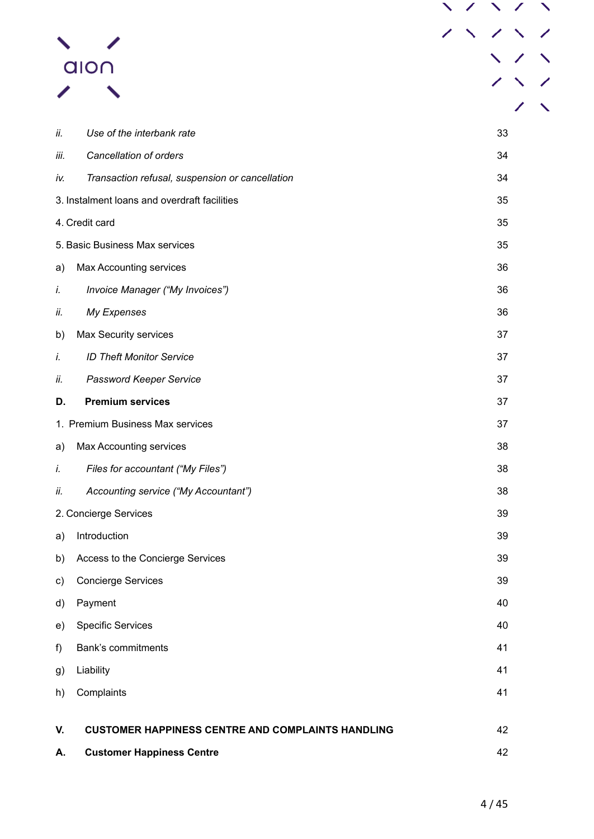|      | alo∩                                                     |  |    |  |
|------|----------------------------------------------------------|--|----|--|
|      |                                                          |  |    |  |
|      |                                                          |  |    |  |
| ii.  | Use of the interbank rate                                |  | 33 |  |
| iii. | Cancellation of orders                                   |  | 34 |  |
| iv.  | Transaction refusal, suspension or cancellation          |  | 34 |  |
|      | 3. Instalment loans and overdraft facilities             |  | 35 |  |
|      | 4. Credit card                                           |  | 35 |  |
|      | 5. Basic Business Max services                           |  | 35 |  |
| a)   | <b>Max Accounting services</b>                           |  | 36 |  |
| i.   | Invoice Manager ("My Invoices")                          |  | 36 |  |
| ii.  | My Expenses                                              |  | 36 |  |
| b)   | Max Security services                                    |  | 37 |  |
| i.   | <b>ID Theft Monitor Service</b>                          |  | 37 |  |
| ii.  | Password Keeper Service                                  |  | 37 |  |
| D.   | <b>Premium services</b>                                  |  | 37 |  |
|      | 1. Premium Business Max services                         |  | 37 |  |
| a)   | Max Accounting services                                  |  | 38 |  |
| İ.   | Files for accountant ("My Files")                        |  | 38 |  |
| ii.  | Accounting service ("My Accountant")                     |  | 38 |  |
|      | 2. Concierge Services                                    |  | 39 |  |
| a)   | Introduction                                             |  | 39 |  |
| b)   | Access to the Concierge Services                         |  | 39 |  |
| C)   | <b>Concierge Services</b>                                |  | 39 |  |
| d)   | Payment                                                  |  | 40 |  |
| e)   | <b>Specific Services</b>                                 |  | 40 |  |
| f)   | Bank's commitments                                       |  | 41 |  |
| g)   | Liability                                                |  | 41 |  |
| h)   | Complaints                                               |  | 41 |  |
| V.   | <b>CUSTOMER HAPPINESS CENTRE AND COMPLAINTS HANDLING</b> |  | 42 |  |
| А.   | <b>Customer Happiness Centre</b>                         |  | 42 |  |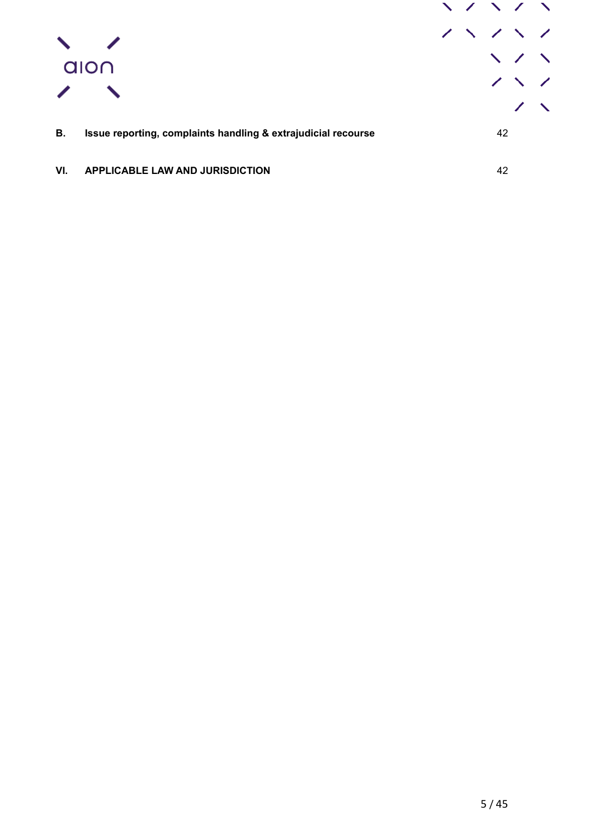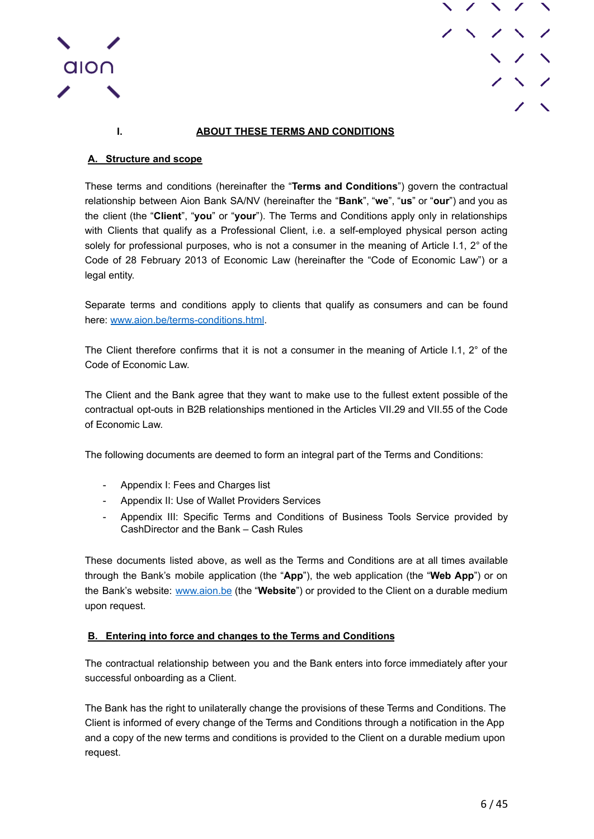



## **I. ABOUT THESE TERMS AND CONDITIONS**

## <span id="page-5-1"></span><span id="page-5-0"></span>**A. Structure and scope**

These terms and conditions (hereinafter the "**Terms and Conditions**") govern the contractual relationship between Aion Bank SA/NV (hereinafter the "**Bank**", "**we**", "**us**" or "**our**") and you as the client (the "**Client**", "**you**" or "**your**"). The Terms and Conditions apply only in relationships with Clients that qualify as a Professional Client, i.e. a self-employed physical person acting solely for professional purposes, who is not a consumer in the meaning of Article I.1, 2° of the Code of 28 February 2013 of Economic Law (hereinafter the "Code of Economic Law") or a legal entity.

Separate terms and conditions apply to clients that qualify as consumers and can be found here: [www.aion.be/terms-conditions.html](http://www.aion.be/terms-conditions.html).

The Client therefore confirms that it is not a consumer in the meaning of Article I.1, 2° of the Code of Economic Law.

The Client and the Bank agree that they want to make use to the fullest extent possible of the contractual opt-outs in B2B relationships mentioned in the Articles VII.29 and VII.55 of the Code of Economic Law.

The following documents are deemed to form an integral part of the Terms and Conditions:

- Appendix I: Fees and Charges list
- Appendix II: Use of Wallet Providers Services
- Appendix III: Specific Terms and Conditions of Business Tools Service provided by CashDirector and the Bank – Cash Rules

These documents listed above, as well as the Terms and Conditions are at all times available through the Bank's mobile application (the "**App**"), the web application (the "**Web App**") or on the Bank's website: [www.aion.be](http://www.aion.be) (the "**Website**") or provided to the Client on a durable medium upon request.

### <span id="page-5-2"></span>**B. Entering into force and changes to the Terms and Conditions**

The contractual relationship between you and the Bank enters into force immediately after your successful onboarding as a Client.

The Bank has the right to unilaterally change the provisions of these Terms and Conditions. The Client is informed of every change of the Terms and Conditions through a notification in the App and a copy of the new terms and conditions is provided to the Client on a durable medium upon request.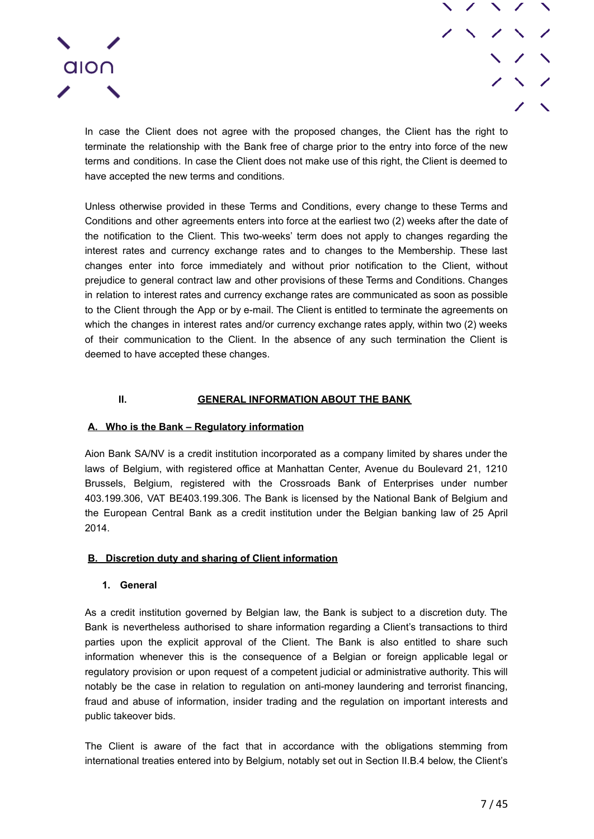

In case the Client does not agree with the proposed changes, the Client has the right to terminate the relationship with the Bank free of charge prior to the entry into force of the new terms and conditions. In case the Client does not make use of this right, the Client is deemed to have accepted the new terms and conditions.

Unless otherwise provided in these Terms and Conditions, every change to these Terms and Conditions and other agreements enters into force at the earliest two (2) weeks after the date of the notification to the Client. This two-weeks' term does not apply to changes regarding the interest rates and currency exchange rates and to changes to the Membership. These last changes enter into force immediately and without prior notification to the Client, without prejudice to general contract law and other provisions of these Terms and Conditions. Changes in relation to interest rates and currency exchange rates are communicated as soon as possible to the Client through the App or by e-mail. The Client is entitled to terminate the agreements on which the changes in interest rates and/or currency exchange rates apply, within two (2) weeks of their communication to the Client. In the absence of any such termination the Client is deemed to have accepted these changes.

## **II. GENERAL INFORMATION ABOUT THE BANK**

### <span id="page-6-1"></span><span id="page-6-0"></span>**A. Who is the Bank – Regulatory information**

Aion Bank SA/NV is a credit institution incorporated as a company limited by shares under the laws of Belgium, with registered office at Manhattan Center, Avenue du Boulevard 21, 1210 Brussels, Belgium, registered with the Crossroads Bank of Enterprises under number 403.199.306, VAT BE403.199.306. The Bank is licensed by the National Bank of Belgium and the European Central Bank as a credit institution under the Belgian banking law of 25 April 2014.

### <span id="page-6-2"></span>**B. Discretion duty and sharing of Client information**

### **1. General**

<span id="page-6-3"></span>As a credit institution governed by Belgian law, the Bank is subject to a discretion duty. The Bank is nevertheless authorised to share information regarding a Client's transactions to third parties upon the explicit approval of the Client. The Bank is also entitled to share such information whenever this is the consequence of a Belgian or foreign applicable legal or regulatory provision or upon request of a competent judicial or administrative authority. This will notably be the case in relation to regulation on anti-money laundering and terrorist financing, fraud and abuse of information, insider trading and the regulation on important interests and public takeover bids.

The Client is aware of the fact that in accordance with the obligations stemming from international treaties entered into by Belgium, notably set out in Section II.B.4 below, the Client's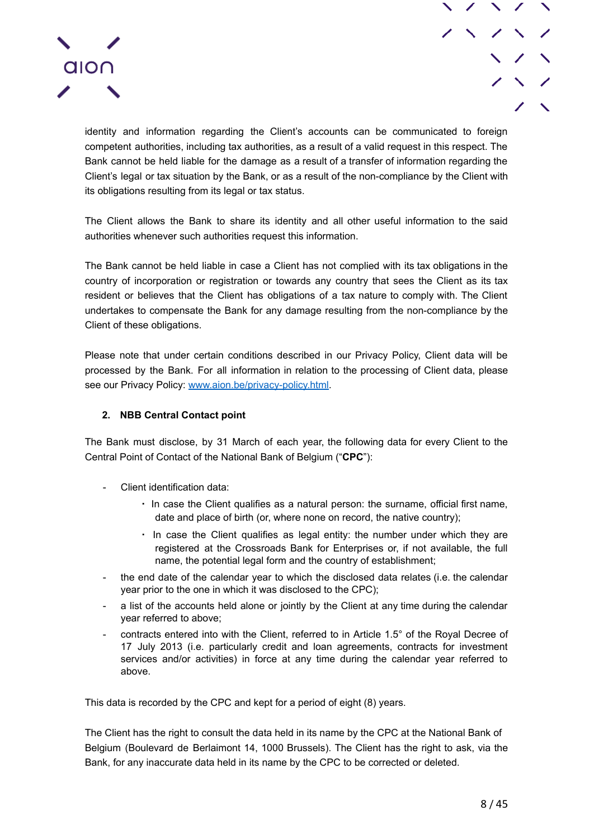

identity and information regarding the Client's accounts can be communicated to foreign competent authorities, including tax authorities, as a result of a valid request in this respect. The Bank cannot be held liable for the damage as a result of a transfer of information regarding the Client's legal or tax situation by the Bank, or as a result of the non-compliance by the Client with its obligations resulting from its legal or tax status.

The Client allows the Bank to share its identity and all other useful information to the said authorities whenever such authorities request this information.

The Bank cannot be held liable in case a Client has not complied with its tax obligations in the country of incorporation or registration or towards any country that sees the Client as its tax resident or believes that the Client has obligations of a tax nature to comply with. The Client undertakes to compensate the Bank for any damage resulting from the non-compliance by the Client of these obligations.

Please note that under certain conditions described in our Privacy Policy, Client data will be processed by the Bank. For all information in relation to the processing of Client data, please see our Privacy Policy: [www.aion.be/privacy-policy.html](http://www.aion.be/privacy-policy.html).

## **2. NBB Central Contact point**

<span id="page-7-0"></span>The Bank must disclose, by 31 March of each year, the following data for every Client to the Central Point of Contact of the National Bank of Belgium ("**CPC**"):

- Client identification data:
	- In case the Client qualifies as a natural person: the surname, official first name, date and place of birth (or, where none on record, the native country);
	- In case the Client qualifies as legal entity: the number under which they are registered at the Crossroads Bank for Enterprises or, if not available, the full name, the potential legal form and the country of establishment;
- the end date of the calendar year to which the disclosed data relates (i.e. the calendar year prior to the one in which it was disclosed to the CPC);
- a list of the accounts held alone or jointly by the Client at any time during the calendar year referred to above;
- contracts entered into with the Client, referred to in Article 1.5° of the Royal Decree of 17 July 2013 (i.e. particularly credit and loan agreements, contracts for investment services and/or activities) in force at any time during the calendar year referred to above.

This data is recorded by the CPC and kept for a period of eight (8) years.

The Client has the right to consult the data held in its name by the CPC at the National Bank of Belgium (Boulevard de Berlaimont 14, 1000 Brussels). The Client has the right to ask, via the Bank, for any inaccurate data held in its name by the CPC to be corrected or deleted.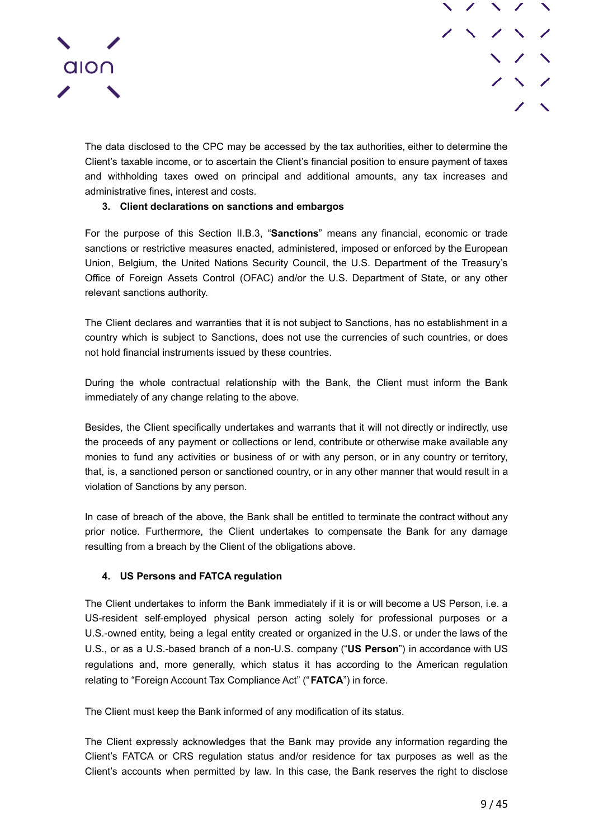

The data disclosed to the CPC may be accessed by the tax authorities, either to determine the Client's taxable income, or to ascertain the Client's financial position to ensure payment of taxes and withholding taxes owed on principal and additional amounts, any tax increases and administrative fines, interest and costs.

## **3. Client declarations on sanctions and embargos**

<span id="page-8-0"></span>For the purpose of this Section II.B.3, "**Sanctions**" means any financial, economic or trade sanctions or restrictive measures enacted, administered, imposed or enforced by the European Union, Belgium, the United Nations Security Council, the U.S. Department of the Treasury's Office of Foreign Assets Control (OFAC) and/or the U.S. Department of State, or any other relevant sanctions authority.

The Client declares and warranties that it is not subject to Sanctions, has no establishment in a country which is subject to Sanctions, does not use the currencies of such countries, or does not hold financial instruments issued by these countries.

During the whole contractual relationship with the Bank, the Client must inform the Bank immediately of any change relating to the above.

Besides, the Client specifically undertakes and warrants that it will not directly or indirectly, use the proceeds of any payment or collections or lend, contribute or otherwise make available any monies to fund any activities or business of or with any person, or in any country or territory, that, is, a sanctioned person or sanctioned country, or in any other manner that would result in a violation of Sanctions by any person.

In case of breach of the above, the Bank shall be entitled to terminate the contract without any prior notice. Furthermore, the Client undertakes to compensate the Bank for any damage resulting from a breach by the Client of the obligations above.

### **4. US Persons and FATCA regulation**

<span id="page-8-1"></span>The Client undertakes to inform the Bank immediately if it is or will become a US Person, i.e. a US-resident self-employed physical person acting solely for professional purposes or a U.S.-owned entity, being a legal entity created or organized in the U.S. or under the laws of the U.S., or as a U.S.-based branch of a non-U.S. company ("**US Person**") in accordance with US regulations and, more generally, which status it has according to the American regulation relating to "Foreign Account Tax Compliance Act" ("**FATCA**") in force.

The Client must keep the Bank informed of any modification of its status.

The Client expressly acknowledges that the Bank may provide any information regarding the Client's FATCA or CRS regulation status and/or residence for tax purposes as well as the Client's accounts when permitted by law. In this case, the Bank reserves the right to disclose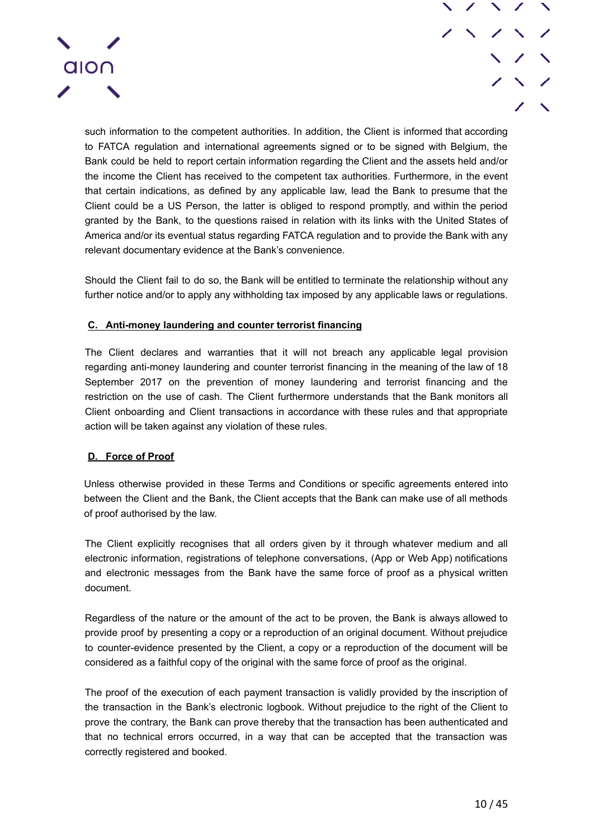

such information to the competent authorities. In addition, the Client is informed that according to FATCA regulation and international agreements signed or to be signed with Belgium, the Bank could be held to report certain information regarding the Client and the assets held and/or the income the Client has received to the competent tax authorities. Furthermore, in the event that certain indications, as defined by any applicable law, lead the Bank to presume that the Client could be a US Person, the latter is obliged to respond promptly, and within the period granted by the Bank, to the questions raised in relation with its links with the United States of America and/or its eventual status regarding FATCA regulation and to provide the Bank with any relevant documentary evidence at the Bank's convenience.

Should the Client fail to do so, the Bank will be entitled to terminate the relationship without any further notice and/or to apply any withholding tax imposed by any applicable laws or regulations.

### <span id="page-9-0"></span>**C. Anti-money laundering and counter terrorist financing**

The Client declares and warranties that it will not breach any applicable legal provision regarding anti-money laundering and counter terrorist financing in the meaning of the law of 18 September 2017 on the prevention of money laundering and terrorist financing and the restriction on the use of cash. The Client furthermore understands that the Bank monitors all Client onboarding and Client transactions in accordance with these rules and that appropriate action will be taken against any violation of these rules.

### <span id="page-9-1"></span>**D. Force of Proof**

Unless otherwise provided in these Terms and Conditions or specific agreements entered into between the Client and the Bank, the Client accepts that the Bank can make use of all methods of proof authorised by the law.

The Client explicitly recognises that all orders given by it through whatever medium and all electronic information, registrations of telephone conversations, (App or Web App) notifications and electronic messages from the Bank have the same force of proof as a physical written document.

Regardless of the nature or the amount of the act to be proven, the Bank is always allowed to provide proof by presenting a copy or a reproduction of an original document. Without prejudice to counter-evidence presented by the Client, a copy or a reproduction of the document will be considered as a faithful copy of the original with the same force of proof as the original.

The proof of the execution of each payment transaction is validly provided by the inscription of the transaction in the Bank's electronic logbook. Without prejudice to the right of the Client to prove the contrary, the Bank can prove thereby that the transaction has been authenticated and that no technical errors occurred, in a way that can be accepted that the transaction was correctly registered and booked.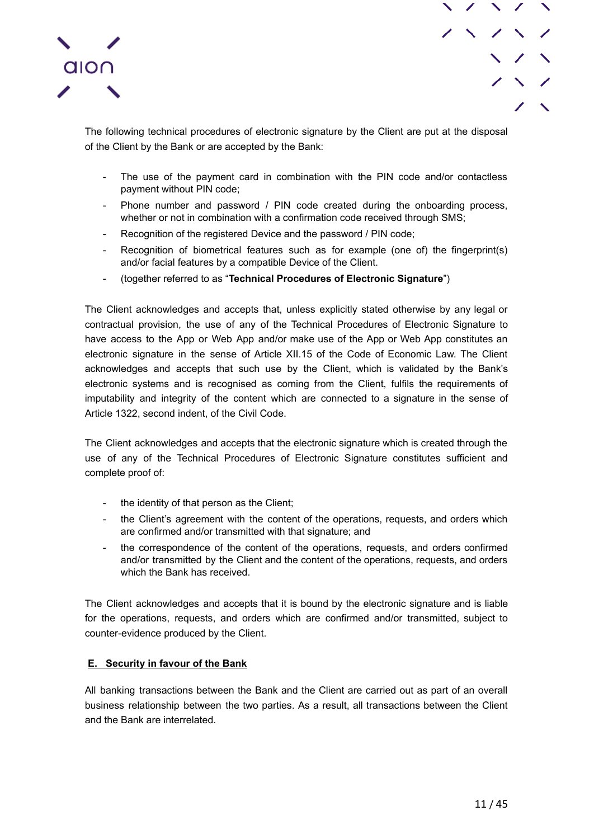



The following technical procedures of electronic signature by the Client are put at the disposal of the Client by the Bank or are accepted by the Bank:

- The use of the payment card in combination with the PIN code and/or contactless payment without PIN code;
- Phone number and password / PIN code created during the onboarding process, whether or not in combination with a confirmation code received through SMS;
- Recognition of the registered Device and the password / PIN code;
- Recognition of biometrical features such as for example (one of) the fingerprint(s) and/or facial features by a compatible Device of the Client.
- (together referred to as "**Technical Procedures of Electronic Signature**")

The Client acknowledges and accepts that, unless explicitly stated otherwise by any legal or contractual provision, the use of any of the Technical Procedures of Electronic Signature to have access to the App or Web App and/or make use of the App or Web App constitutes an electronic signature in the sense of Article XII.15 of the Code of Economic Law. The Client acknowledges and accepts that such use by the Client, which is validated by the Bank's electronic systems and is recognised as coming from the Client, fulfils the requirements of imputability and integrity of the content which are connected to a signature in the sense of Article 1322, second indent, of the Civil Code.

The Client acknowledges and accepts that the electronic signature which is created through the use of any of the Technical Procedures of Electronic Signature constitutes sufficient and complete proof of:

- the identity of that person as the Client;
- the Client's agreement with the content of the operations, requests, and orders which are confirmed and/or transmitted with that signature; and
- the correspondence of the content of the operations, requests, and orders confirmed and/or transmitted by the Client and the content of the operations, requests, and orders which the Bank has received.

The Client acknowledges and accepts that it is bound by the electronic signature and is liable for the operations, requests, and orders which are confirmed and/or transmitted, subject to counter-evidence produced by the Client.

### <span id="page-10-0"></span>**E. Security in favour of the Bank**

All banking transactions between the Bank and the Client are carried out as part of an overall business relationship between the two parties. As a result, all transactions between the Client and the Bank are interrelated.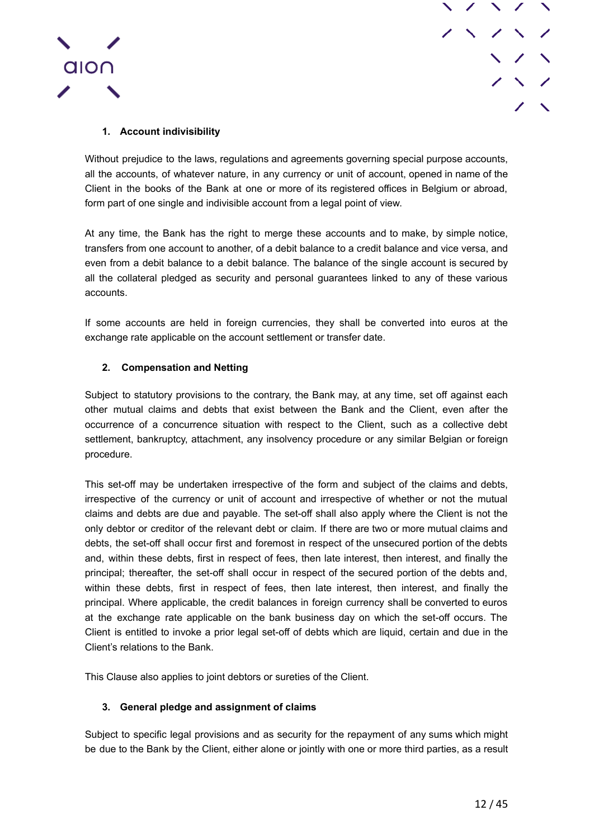



## **1. Account indivisibility**

<span id="page-11-0"></span>Without prejudice to the laws, regulations and agreements governing special purpose accounts, all the accounts, of whatever nature, in any currency or unit of account, opened in name of the Client in the books of the Bank at one or more of its registered offices in Belgium or abroad, form part of one single and indivisible account from a legal point of view.

At any time, the Bank has the right to merge these accounts and to make, by simple notice, transfers from one account to another, of a debit balance to a credit balance and vice versa, and even from a debit balance to a debit balance. The balance of the single account is secured by all the collateral pledged as security and personal guarantees linked to any of these various accounts.

If some accounts are held in foreign currencies, they shall be converted into euros at the exchange rate applicable on the account settlement or transfer date.

## **2. Compensation and Netting**

<span id="page-11-1"></span>Subject to statutory provisions to the contrary, the Bank may, at any time, set off against each other mutual claims and debts that exist between the Bank and the Client, even after the occurrence of a concurrence situation with respect to the Client, such as a collective debt settlement, bankruptcy, attachment, any insolvency procedure or any similar Belgian or foreign procedure.

This set-off may be undertaken irrespective of the form and subject of the claims and debts, irrespective of the currency or unit of account and irrespective of whether or not the mutual claims and debts are due and payable. The set-off shall also apply where the Client is not the only debtor or creditor of the relevant debt or claim. If there are two or more mutual claims and debts, the set-off shall occur first and foremost in respect of the unsecured portion of the debts and, within these debts, first in respect of fees, then late interest, then interest, and finally the principal; thereafter, the set-off shall occur in respect of the secured portion of the debts and, within these debts, first in respect of fees, then late interest, then interest, and finally the principal. Where applicable, the credit balances in foreign currency shall be converted to euros at the exchange rate applicable on the bank business day on which the set-off occurs. The Client is entitled to invoke a prior legal set-off of debts which are liquid, certain and due in the Client's relations to the Bank.

This Clause also applies to joint debtors or sureties of the Client.

### **3. General pledge and assignment of claims**

<span id="page-11-2"></span>Subject to specific legal provisions and as security for the repayment of any sums which might be due to the Bank by the Client, either alone or jointly with one or more third parties, as a result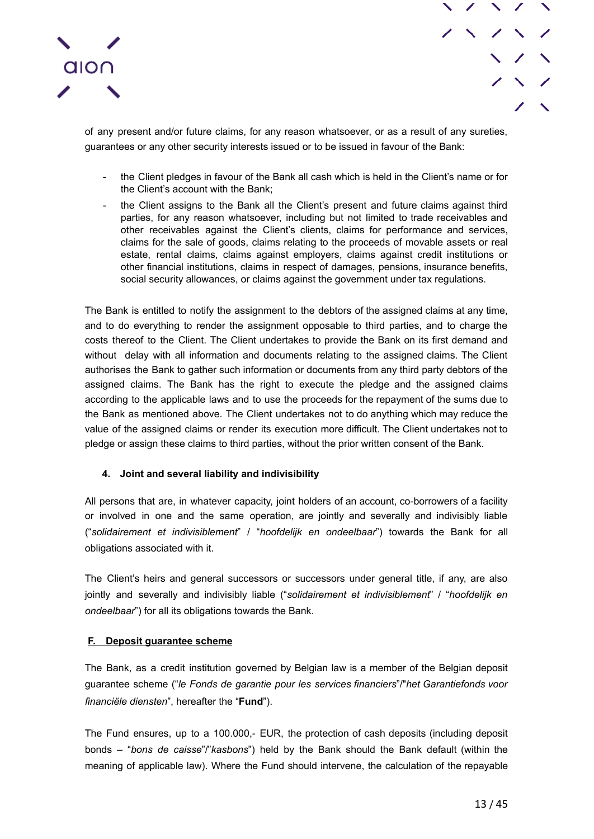



of any present and/or future claims, for any reason whatsoever, or as a result of any sureties, guarantees or any other security interests issued or to be issued in favour of the Bank:

- the Client pledges in favour of the Bank all cash which is held in the Client's name or for the Client's account with the Bank;
- the Client assigns to the Bank all the Client's present and future claims against third parties, for any reason whatsoever, including but not limited to trade receivables and other receivables against the Client's clients, claims for performance and services, claims for the sale of goods, claims relating to the proceeds of movable assets or real estate, rental claims, claims against employers, claims against credit institutions or other financial institutions, claims in respect of damages, pensions, insurance benefits, social security allowances, or claims against the government under tax regulations.

The Bank is entitled to notify the assignment to the debtors of the assigned claims at any time, and to do everything to render the assignment opposable to third parties, and to charge the costs thereof to the Client. The Client undertakes to provide the Bank on its first demand and without delay with all information and documents relating to the assigned claims. The Client authorises the Bank to gather such information or documents from any third party debtors of the assigned claims. The Bank has the right to execute the pledge and the assigned claims according to the applicable laws and to use the proceeds for the repayment of the sums due to the Bank as mentioned above. The Client undertakes not to do anything which may reduce the value of the assigned claims or render its execution more difficult. The Client undertakes not to pledge or assign these claims to third parties, without the prior written consent of the Bank.

### **4. Joint and several liability and indivisibility**

<span id="page-12-0"></span>All persons that are, in whatever capacity, joint holders of an account, co-borrowers of a facility or involved in one and the same operation, are jointly and severally and indivisibly liable ("*solidairement et indivisiblement*" / "*hoofdelijk en ondeelbaar*") towards the Bank for all obligations associated with it.

The Client's heirs and general successors or successors under general title, if any, are also jointly and severally and indivisibly liable ("*solidairement et indivisiblement*" / "*hoofdelijk en ondeelbaar*") for all its obligations towards the Bank.

## <span id="page-12-1"></span>**F. Deposit guarantee scheme**

The Bank, as a credit institution governed by Belgian law is a member of the Belgian deposit guarantee scheme ("*le Fonds de garantie pour les services financiers*"/"*het Garantiefonds voor financiële diensten*", hereafter the "**Fund**").

The Fund ensures, up to a 100.000,- EUR, the protection of cash deposits (including deposit bonds – "*bons de caisse*"/"*kasbons*") held by the Bank should the Bank default (within the meaning of applicable law). Where the Fund should intervene, the calculation of the repayable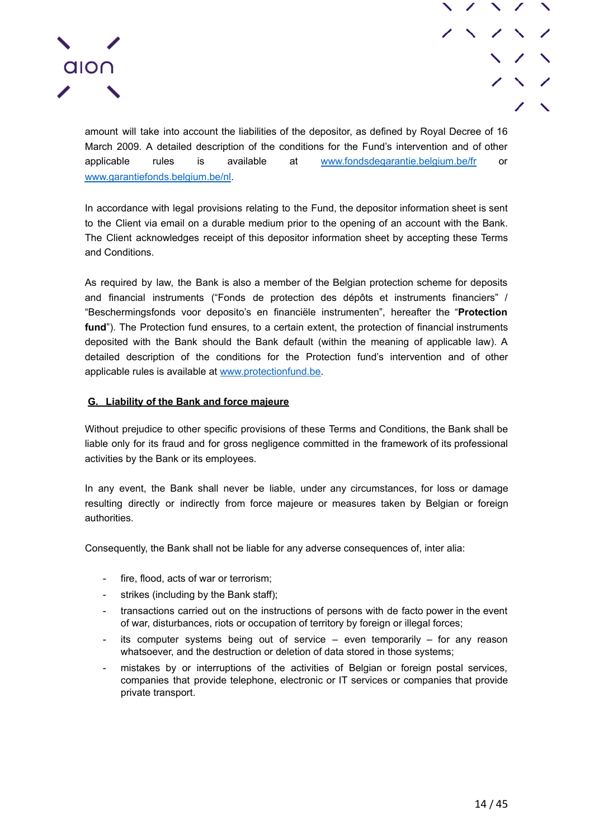



amount will take into account the liabilities of the depositor, as defined by Royal Decree of 16 March 2009. A detailed description of the conditions for the Fund's intervention and of other applicable rules is available at www.fondsdegarantie.belgium.be/fr or www.garantiefonds.belgium.be/nl[.](https://www.garantiefonds.belgium.be/nl)

In accordance with legal provisions relating to the Fund, the depositor information sheet is sent to the Client via email on a durable medium prior to the opening of an account with the Bank. The Client acknowledges receipt of this depositor information sheet by accepting these Terms and Conditions.

As required by law, the Bank is also a member of the Belgian protection scheme for deposits and financial instruments ("Fonds de protection des dépôts et instruments financiers" / "Beschermingsfonds voor deposito's en financiële instrumenten", hereafter the "**Protection fund**"). The Protection fund ensures, to a certain extent, the protection of financial instruments deposited with the Bank should the Bank default (within the meaning of applicable law). A detailed description of the conditions for the Protection fund's intervention and of other applicable rules is available at www.protectionfund.be.

### <span id="page-13-0"></span>**G. Liability of the Bank and force majeure**

Without prejudice to other specific provisions of these Terms and Conditions, the Bank shall be liable only for its fraud and for gross negligence committed in the framework of its professional activities by the Bank or its employees.

In any event, the Bank shall never be liable, under any circumstances, for loss or damage resulting directly or indirectly from force majeure or measures taken by Belgian or foreign authorities.

Consequently, the Bank shall not be liable for any adverse consequences of, inter alia:

- fire, flood, acts of war or terrorism;
- strikes (including by the Bank staff);
- transactions carried out on the instructions of persons with de facto power in the event of war, disturbances, riots or occupation of territory by foreign or illegal forces;
- its computer systems being out of service  $-$  even temporarily  $-$  for any reason whatsoever, and the destruction or deletion of data stored in those systems;
- mistakes by or interruptions of the activities of Belgian or foreign postal services, companies that provide telephone, electronic or IT services or companies that provide private transport.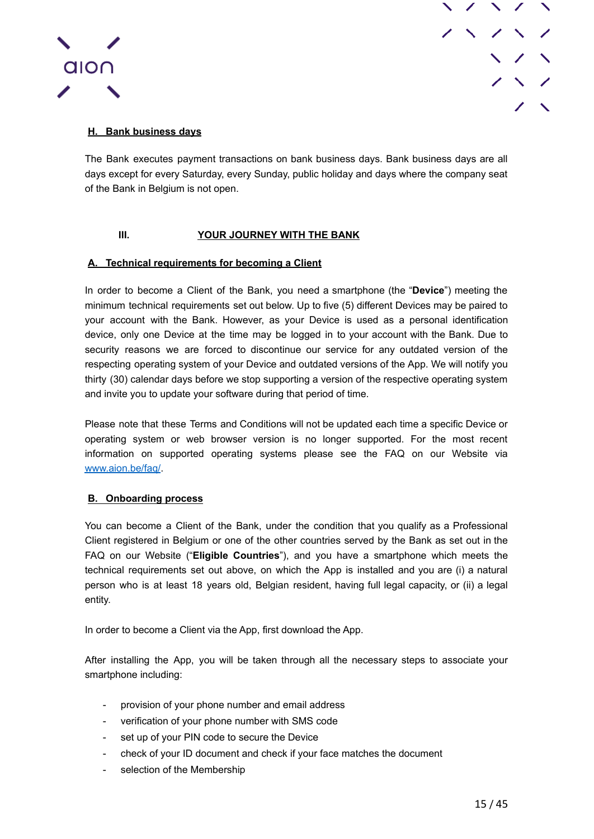



## <span id="page-14-0"></span>**H. Bank business days**

The Bank executes payment transactions on bank business days. Bank business days are all days except for every Saturday, every Sunday, public holiday and days where the company seat of the Bank in Belgium is not open.

## **III. YOUR JOURNEY WITH THE BANK**

### <span id="page-14-2"></span><span id="page-14-1"></span>**A. Technical requirements for becoming a Client**

In order to become a Client of the Bank, you need a smartphone (the "**Device**") meeting the minimum technical requirements set out below. Up to five (5) different Devices may be paired to your account with the Bank. However, as your Device is used as a personal identification device, only one Device at the time may be logged in to your account with the Bank. Due to security reasons we are forced to discontinue our service for any outdated version of the respecting operating system of your Device and outdated versions of the App. We will notify you thirty (30) calendar days before we stop supporting a version of the respective operating system and invite you to update your software during that period of time.

Please note that these Terms and Conditions will not be updated each time a specific Device or operating system or web browser version is no longer supported. For the most recent information on supported operating systems please see the FAQ on our Website via [www.aion.be/faq/](http://www.aion.be/faq/).

### <span id="page-14-3"></span>**B. Onboarding process**

You can become a Client of the Bank, under the condition that you qualify as a Professional Client registered in Belgium or one of the other countries served by the Bank as set out in the FAQ on our Website ("**Eligible Countries**"), and you have a smartphone which meets the technical requirements set out above, on which the App is installed and you are (i) a natural person who is at least 18 years old, Belgian resident, having full legal capacity, or (ii) a legal entity.

In order to become a Client via the App, first download the App.

After installing the App, you will be taken through all the necessary steps to associate your smartphone including:

- provision of your phone number and email address
- verification of your phone number with SMS code
- set up of your PIN code to secure the Device
- check of your ID document and check if your face matches the document
- selection of the Membership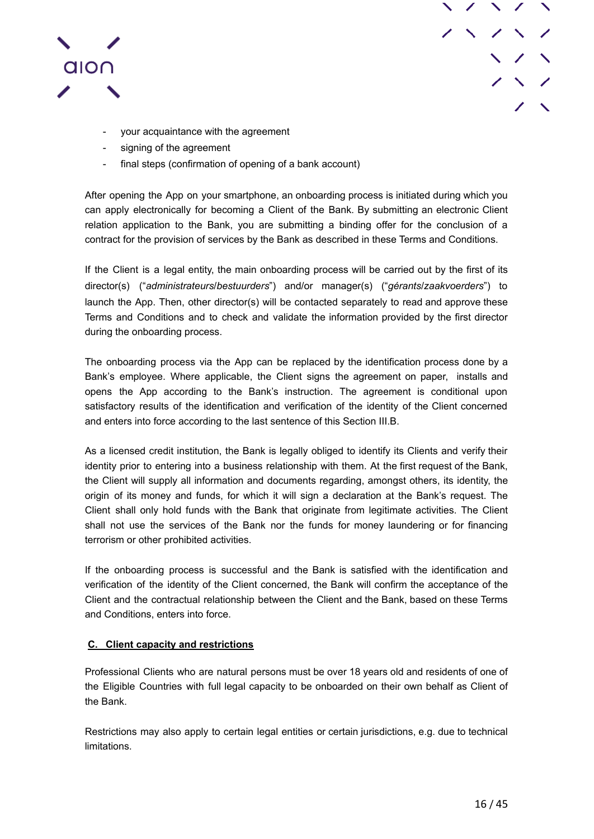



- your acquaintance with the agreement
- signing of the agreement
- final steps (confirmation of opening of a bank account)

After opening the App on your smartphone, an onboarding process is initiated during which you can apply electronically for becoming a Client of the Bank. By submitting an electronic Client relation application to the Bank, you are submitting a binding offer for the conclusion of a contract for the provision of services by the Bank as described in these Terms and Conditions.

If the Client is a legal entity, the main onboarding process will be carried out by the first of its director(s) ("*administrateurs*/*bestuurders*") and/or manager(s) ("*gérants*/*zaakvoerders*") to launch the App. Then, other director(s) will be contacted separately to read and approve these Terms and Conditions and to check and validate the information provided by the first director during the onboarding process.

The onboarding process via the App can be replaced by the identification process done by a Bank's employee. Where applicable, the Client signs the agreement on paper, installs and opens the App according to the Bank's instruction. The agreement is conditional upon satisfactory results of the identification and verification of the identity of the Client concerned and enters into force according to the last sentence of this Section III.B.

As a licensed credit institution, the Bank is legally obliged to identify its Clients and verify their identity prior to entering into a business relationship with them. At the first request of the Bank, the Client will supply all information and documents regarding, amongst others, its identity, the origin of its money and funds, for which it will sign a declaration at the Bank's request. The Client shall only hold funds with the Bank that originate from legitimate activities. The Client shall not use the services of the Bank nor the funds for money laundering or for financing terrorism or other prohibited activities.

If the onboarding process is successful and the Bank is satisfied with the identification and verification of the identity of the Client concerned, the Bank will confirm the acceptance of the Client and the contractual relationship between the Client and the Bank, based on these Terms and Conditions, enters into force.

### <span id="page-15-0"></span>**C. Client capacity and restrictions**

Professional Clients who are natural persons must be over 18 years old and residents of one of the Eligible Countries with full legal capacity to be onboarded on their own behalf as Client of the Bank.

Restrictions may also apply to certain legal entities or certain jurisdictions, e.g. due to technical limitations.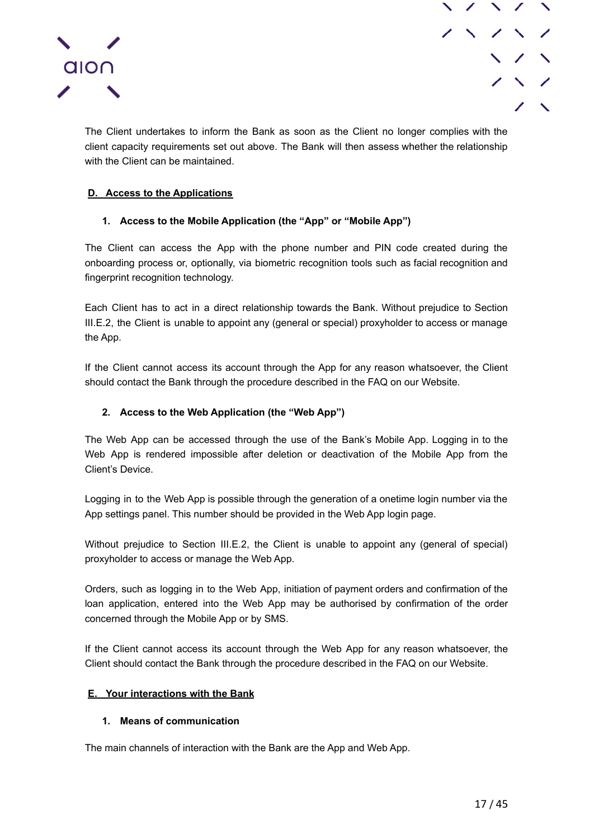



The Client undertakes to inform the Bank as soon as the Client no longer complies with the client capacity requirements set out above. The Bank will then assess whether the relationship with the Client can be maintained.

## <span id="page-16-0"></span>**D. Access to the Applications**

## **1. Access to the Mobile Application (the "App" or "Mobile App")**

<span id="page-16-1"></span>The Client can access the App with the phone number and PIN code created during the onboarding process or, optionally, via biometric recognition tools such as facial recognition and fingerprint recognition technology.

Each Client has to act in a direct relationship towards the Bank. Without prejudice to Section III.E.2, the Client is unable to appoint any (general or special) proxyholder to access or manage the App.

If the Client cannot access its account through the App for any reason whatsoever, the Client should contact the Bank through the procedure described in the FAQ on our Website.

### **2. Access to the Web Application (the "Web App")**

<span id="page-16-2"></span>The Web App can be accessed through the use of the Bank's Mobile App. Logging in to the Web App is rendered impossible after deletion or deactivation of the Mobile App from the Client's Device.

Logging in to the Web App is possible through the generation of a onetime login number via the App settings panel. This number should be provided in the Web App login page.

Without prejudice to Section III.E.2, the Client is unable to appoint any (general of special) proxyholder to access or manage the Web App.

Orders, such as logging in to the Web App, initiation of payment orders and confirmation of the loan application, entered into the Web App may be authorised by confirmation of the order concerned through the Mobile App or by SMS.

If the Client cannot access its account through the Web App for any reason whatsoever, the Client should contact the Bank through the procedure described in the FAQ on our Website.

### <span id="page-16-3"></span>**E. Your interactions with the Bank**

### **1. Means of communication**

<span id="page-16-4"></span>The main channels of interaction with the Bank are the App and Web App.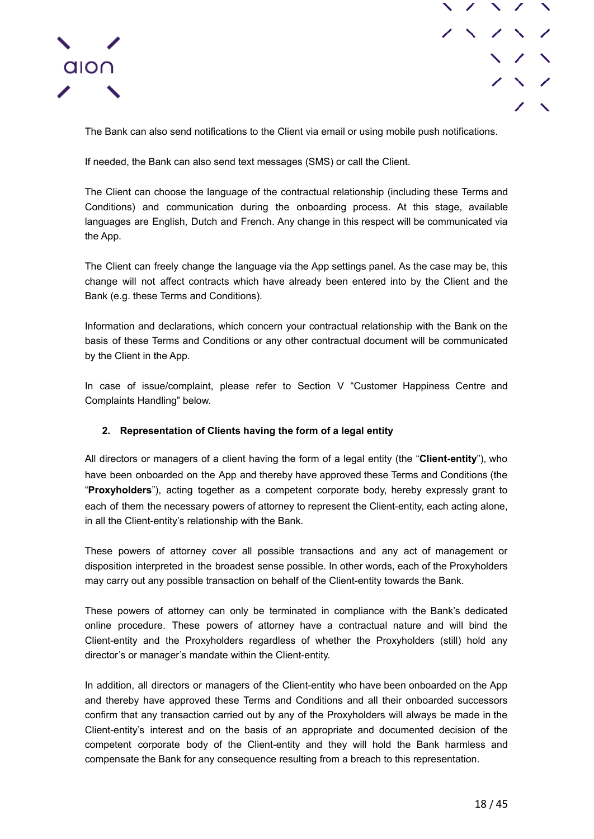



The Bank can also send notifications to the Client via email or using mobile push notifications.

If needed, the Bank can also send text messages (SMS) or call the Client.

The Client can choose the language of the contractual relationship (including these Terms and Conditions) and communication during the onboarding process. At this stage, available languages are English, Dutch and French. Any change in this respect will be communicated via the App.

The Client can freely change the language via the App settings panel. As the case may be, this change will not affect contracts which have already been entered into by the Client and the Bank (e.g. these Terms and Conditions).

Information and declarations, which concern your contractual relationship with the Bank on the basis of these Terms and Conditions or any other contractual document will be communicated by the Client in the App.

In case of issue/complaint, please refer to Section V "Customer Happiness Centre and Complaints Handling" below.

## **2. Representation of Clients having the form of a legal entity**

<span id="page-17-0"></span>All directors or managers of a client having the form of a legal entity (the "**Client-entity**"), who have been onboarded on the App and thereby have approved these Terms and Conditions (the "**Proxyholders**"), acting together as a competent corporate body, hereby expressly grant to each of them the necessary powers of attorney to represent the Client-entity, each acting alone, in all the Client-entity's relationship with the Bank.

These powers of attorney cover all possible transactions and any act of management or disposition interpreted in the broadest sense possible. In other words, each of the Proxyholders may carry out any possible transaction on behalf of the Client-entity towards the Bank.

These powers of attorney can only be terminated in compliance with the Bank's dedicated online procedure. These powers of attorney have a contractual nature and will bind the Client-entity and the Proxyholders regardless of whether the Proxyholders (still) hold any director's or manager's mandate within the Client-entity.

In addition, all directors or managers of the Client-entity who have been onboarded on the App and thereby have approved these Terms and Conditions and all their onboarded successors confirm that any transaction carried out by any of the Proxyholders will always be made in the Client-entity's interest and on the basis of an appropriate and documented decision of the competent corporate body of the Client-entity and they will hold the Bank harmless and compensate the Bank for any consequence resulting from a breach to this representation.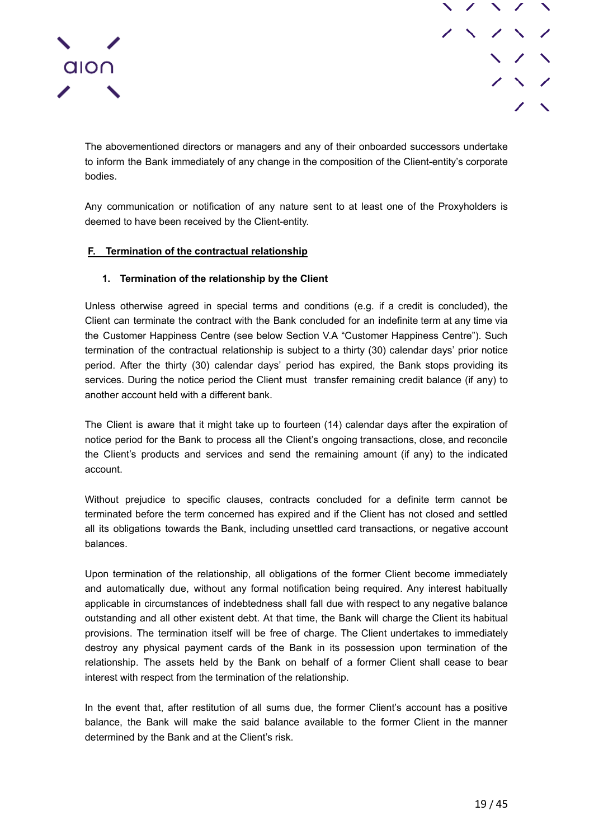

The abovementioned directors or managers and any of their onboarded successors undertake to inform the Bank immediately of any change in the composition of the Client-entity's corporate bodies.

Any communication or notification of any nature sent to at least one of the Proxyholders is deemed to have been received by the Client-entity.

### <span id="page-18-0"></span>**F. Termination of the contractual relationship**

### **1. Termination of the relationship by the Client**

<span id="page-18-1"></span>Unless otherwise agreed in special terms and conditions (e.g. if a credit is concluded), the Client can terminate the contract with the Bank concluded for an indefinite term at any time via the Customer Happiness Centre (see below Section V.A "Customer Happiness Centre"). Such termination of the contractual relationship is subject to a thirty (30) calendar days' prior notice period. After the thirty (30) calendar days' period has expired, the Bank stops providing its services. During the notice period the Client must transfer remaining credit balance (if any) to another account held with a different bank.

The Client is aware that it might take up to fourteen (14) calendar days after the expiration of notice period for the Bank to process all the Client's ongoing transactions, close, and reconcile the Client's products and services and send the remaining amount (if any) to the indicated account.

Without prejudice to specific clauses, contracts concluded for a definite term cannot be terminated before the term concerned has expired and if the Client has not closed and settled all its obligations towards the Bank, including unsettled card transactions, or negative account balances.

Upon termination of the relationship, all obligations of the former Client become immediately and automatically due, without any formal notification being required. Any interest habitually applicable in circumstances of indebtedness shall fall due with respect to any negative balance outstanding and all other existent debt. At that time, the Bank will charge the Client its habitual provisions. The termination itself will be free of charge. The Client undertakes to immediately destroy any physical payment cards of the Bank in its possession upon termination of the relationship. The assets held by the Bank on behalf of a former Client shall cease to bear interest with respect from the termination of the relationship.

In the event that, after restitution of all sums due, the former Client's account has a positive balance, the Bank will make the said balance available to the former Client in the manner determined by the Bank and at the Client's risk.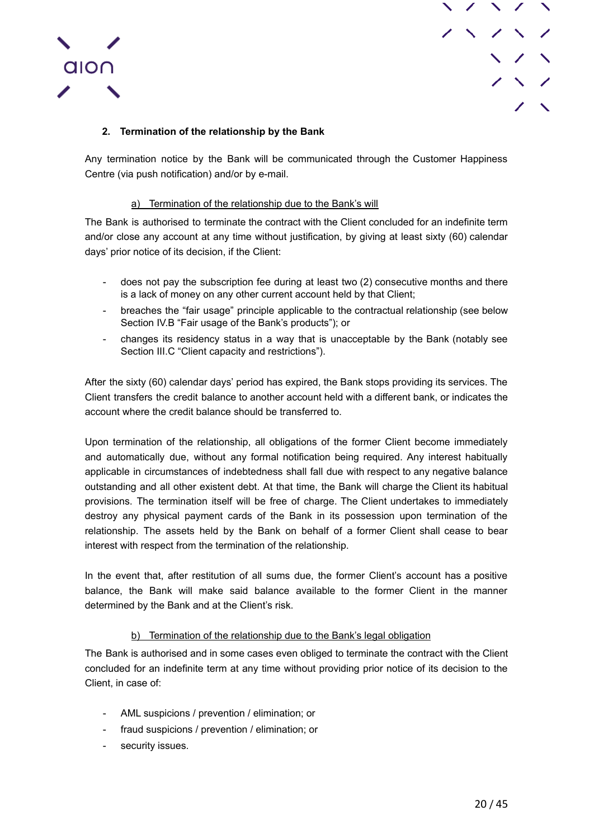



## **2. Termination of the relationship by the Bank**

<span id="page-19-0"></span>Any termination notice by the Bank will be communicated through the Customer Happiness Centre (via push notification) and/or by e-mail.

### a) Termination of the relationship due to the Bank's will

<span id="page-19-1"></span>The Bank is authorised to terminate the contract with the Client concluded for an indefinite term and/or close any account at any time without justification, by giving at least sixty (60) calendar days' prior notice of its decision, if the Client:

- does not pay the subscription fee during at least two (2) consecutive months and there is a lack of money on any other current account held by that Client;
- breaches the "fair usage" principle applicable to the contractual relationship (see below Section IV.B "Fair usage of the Bank's products"); or
- changes its residency status in a way that is unacceptable by the Bank (notably see Section III.C "Client capacity and restrictions").

After the sixty (60) calendar days' period has expired, the Bank stops providing its services. The Client transfers the credit balance to another account held with a different bank, or indicates the account where the credit balance should be transferred to.

Upon termination of the relationship, all obligations of the former Client become immediately and automatically due, without any formal notification being required. Any interest habitually applicable in circumstances of indebtedness shall fall due with respect to any negative balance outstanding and all other existent debt. At that time, the Bank will charge the Client its habitual provisions. The termination itself will be free of charge. The Client undertakes to immediately destroy any physical payment cards of the Bank in its possession upon termination of the relationship. The assets held by the Bank on behalf of a former Client shall cease to bear interest with respect from the termination of the relationship.

In the event that, after restitution of all sums due, the former Client's account has a positive balance, the Bank will make said balance available to the former Client in the manner determined by the Bank and at the Client's risk.

### b) Termination of the relationship due to the Bank's legal obligation

<span id="page-19-2"></span>The Bank is authorised and in some cases even obliged to terminate the contract with the Client concluded for an indefinite term at any time without providing prior notice of its decision to the Client, in case of:

- AML suspicions / prevention / elimination; or
- fraud suspicions / prevention / elimination; or
- security issues.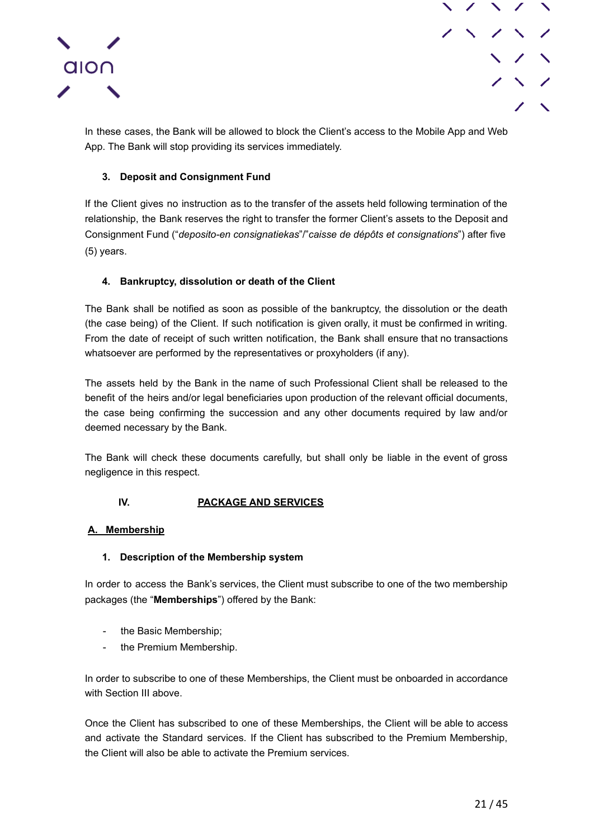



In these cases, the Bank will be allowed to block the Client's access to the Mobile App and Web App. The Bank will stop providing its services immediately.

## **3. Deposit and Consignment Fund**

<span id="page-20-0"></span>If the Client gives no instruction as to the transfer of the assets held following termination of the relationship, the Bank reserves the right to transfer the former Client's assets to the Deposit and Consignment Fund ("*deposito-en consignatiekas*"/"*caisse de dépôts et consignations*") after five (5) years.

## **4. Bankruptcy, dissolution or death of the Client**

<span id="page-20-1"></span>The Bank shall be notified as soon as possible of the bankruptcy, the dissolution or the death (the case being) of the Client. If such notification is given orally, it must be confirmed in writing. From the date of receipt of such written notification, the Bank shall ensure that no transactions whatsoever are performed by the representatives or proxyholders (if any).

The assets held by the Bank in the name of such Professional Client shall be released to the benefit of the heirs and/or legal beneficiaries upon production of the relevant official documents, the case being confirming the succession and any other documents required by law and/or deemed necessary by the Bank.

The Bank will check these documents carefully, but shall only be liable in the event of gross negligence in this respect.

### **IV. PACKAGE AND SERVICES**

### <span id="page-20-3"></span><span id="page-20-2"></span>**A. Membership**

### **1. Description of the Membership system**

<span id="page-20-4"></span>In order to access the Bank's services, the Client must subscribe to one of the two membership packages (the "**Memberships**") offered by the Bank:

- the Basic Membership;
- the Premium Membership.

In order to subscribe to one of these Memberships, the Client must be onboarded in accordance with Section III above.

Once the Client has subscribed to one of these Memberships, the Client will be able to access and activate the Standard services. If the Client has subscribed to the Premium Membership, the Client will also be able to activate the Premium services.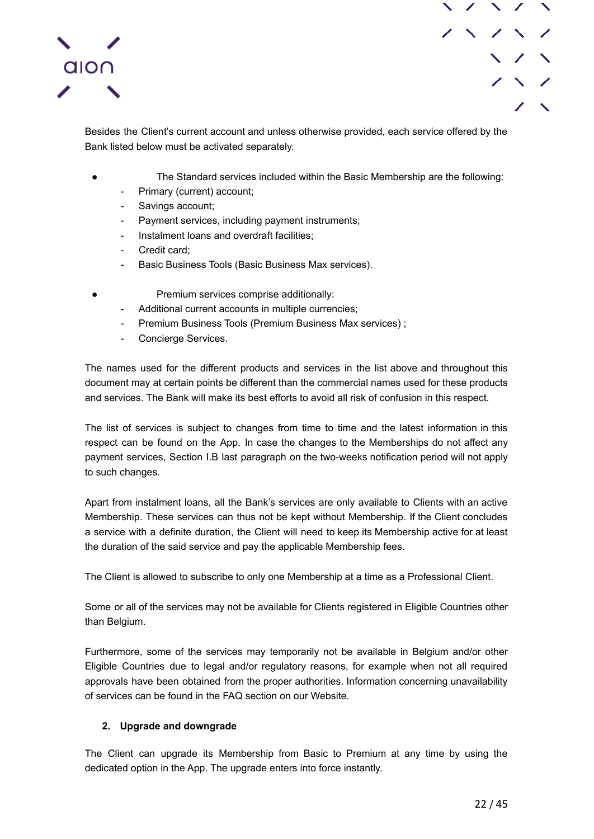

Besides the Client's current account and unless otherwise provided, each service offered by the Bank listed below must be activated separately.

- The Standard services included within the Basic Membership are the following:
- Primary (current) account;
- Savings account;
- Payment services, including payment instruments;
- Instalment loans and overdraft facilities;
- Credit card;
- Basic Business Tools (Basic Business Max services).
- Premium services comprise additionally:
	- Additional current accounts in multiple currencies;
	- Premium Business Tools (Premium Business Max services) ;
	- Concierge Services.

The names used for the different products and services in the list above and throughout this document may at certain points be different than the commercial names used for these products and services. The Bank will make its best efforts to avoid all risk of confusion in this respect.

The list of services is subject to changes from time to time and the latest information in this respect can be found on the App. In case the changes to the Memberships do not affect any payment services, Section I.B last paragraph on the two-weeks notification period will not apply to such changes.

Apart from instalment loans, all the Bank's services are only available to Clients with an active Membership. These services can thus not be kept without Membership. If the Client concludes a service with a definite duration, the Client will need to keep its Membership active for at least the duration of the said service and pay the applicable Membership fees.

The Client is allowed to subscribe to only one Membership at a time as a Professional Client.

Some or all of the services may not be available for Clients registered in Eligible Countries other than Belgium.

Furthermore, some of the services may temporarily not be available in Belgium and/or other Eligible Countries due to legal and/or regulatory reasons, for example when not all required approvals have been obtained from the proper authorities. Information concerning unavailability of services can be found in the FAQ section on our Website.

### **2. Upgrade and downgrade**

<span id="page-21-0"></span>The Client can upgrade its Membership from Basic to Premium at any time by using the dedicated option in the App. The upgrade enters into force instantly.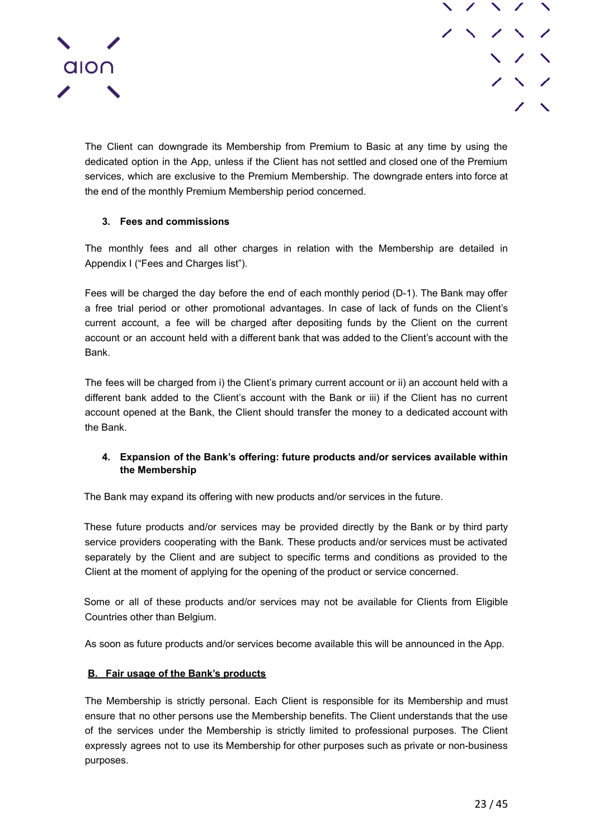

The Client can downgrade its Membership from Premium to Basic at any time by using the dedicated option in the App, unless if the Client has not settled and closed one of the Premium services, which are exclusive to the Premium Membership. The downgrade enters into force at the end of the monthly Premium Membership period concerned.

## **3. Fees and commissions**

<span id="page-22-0"></span>The monthly fees and all other charges in relation with the Membership are detailed in Appendix I ("Fees and Charges list").

Fees will be charged the day before the end of each monthly period (D-1). The Bank may offer a free trial period or other promotional advantages. In case of lack of funds on the Client's current account, a fee will be charged after depositing funds by the Client on the current account or an account held with a different bank that was added to the Client's account with the Bank.

The fees will be charged from i) the Client's primary current account or ii) an account held with a different bank added to the Client's account with the Bank or iii) if the Client has no current account opened at the Bank, the Client should transfer the money to a dedicated account with the Bank.

## **4. Expansion of the Bank's offering: future products and/or services available within the Membership**

<span id="page-22-1"></span>The Bank may expand its offering with new products and/or services in the future.

These future products and/or services may be provided directly by the Bank or by third party service providers cooperating with the Bank. These products and/or services must be activated separately by the Client and are subject to specific terms and conditions as provided to the Client at the moment of applying for the opening of the product or service concerned.

Some or all of these products and/or services may not be available for Clients from Eligible Countries other than Belgium.

As soon as future products and/or services become available this will be announced in the App.

### <span id="page-22-2"></span>**B. Fair usage of the Bank's products**

The Membership is strictly personal. Each Client is responsible for its Membership and must ensure that no other persons use the Membership benefits. The Client understands that the use of the services under the Membership is strictly limited to professional purposes. The Client expressly agrees not to use its Membership for other purposes such as private or non-business purposes.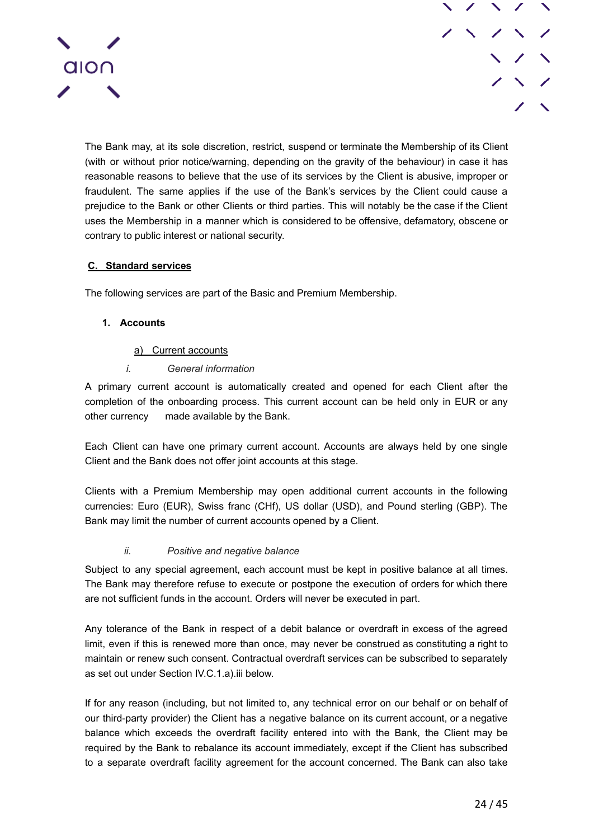

The Bank may, at its sole discretion, restrict, suspend or terminate the Membership of its Client (with or without prior notice/warning, depending on the gravity of the behaviour) in case it has reasonable reasons to believe that the use of its services by the Client is abusive, improper or fraudulent. The same applies if the use of the Bank's services by the Client could cause a prejudice to the Bank or other Clients or third parties. This will notably be the case if the Client uses the Membership in a manner which is considered to be offensive, defamatory, obscene or contrary to public interest or national security.

## <span id="page-23-0"></span>**C. Standard services**

<span id="page-23-1"></span>The following services are part of the Basic and Premium Membership.

## **1. Accounts**

### a) Current accounts

## *i. General information*

<span id="page-23-3"></span><span id="page-23-2"></span>A primary current account is automatically created and opened for each Client after the completion of the onboarding process. This current account can be held only in EUR or any other currency made available by the Bank.

Each Client can have one primary current account. Accounts are always held by one single Client and the Bank does not offer joint accounts at this stage.

Clients with a Premium Membership may open additional current accounts in the following currencies: Euro (EUR), Swiss franc (CHf), US dollar (USD), and Pound sterling (GBP). The Bank may limit the number of current accounts opened by a Client.

### *ii. Positive and negative balance*

<span id="page-23-4"></span>Subject to any special agreement, each account must be kept in positive balance at all times. The Bank may therefore refuse to execute or postpone the execution of orders for which there are not sufficient funds in the account. Orders will never be executed in part.

Any tolerance of the Bank in respect of a debit balance or overdraft in excess of the agreed limit, even if this is renewed more than once, may never be construed as constituting a right to maintain or renew such consent. Contractual overdraft services can be subscribed to separately as set out under Section IV.C.1.a).iii below.

If for any reason (including, but not limited to, any technical error on our behalf or on behalf of our third-party provider) the Client has a negative balance on its current account, or a negative balance which exceeds the overdraft facility entered into with the Bank, the Client may be required by the Bank to rebalance its account immediately, except if the Client has subscribed to a separate overdraft facility agreement for the account concerned. The Bank can also take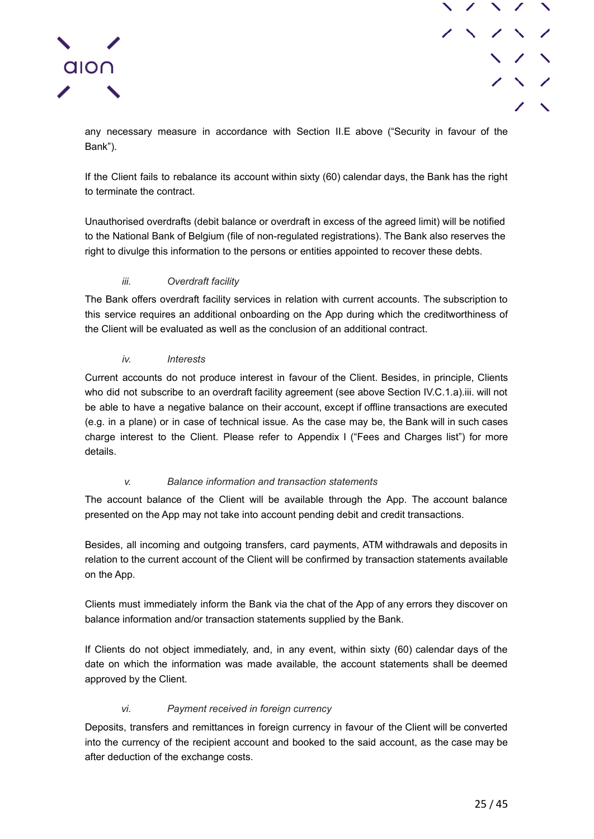



any necessary measure in accordance with Section II.E above ("Security in favour of the Bank").

If the Client fails to rebalance its account within sixty (60) calendar days, the Bank has the right to terminate the contract.

Unauthorised overdrafts (debit balance or overdraft in excess of the agreed limit) will be notified to the National Bank of Belgium (file of non-regulated registrations). The Bank also reserves the right to divulge this information to the persons or entities appointed to recover these debts.

## *iii. Overdraft facility*

<span id="page-24-0"></span>The Bank offers overdraft facility services in relation with current accounts. The subscription to this service requires an additional onboarding on the App during which the creditworthiness of the Client will be evaluated as well as the conclusion of an additional contract.

### *iv. Interests*

<span id="page-24-1"></span>Current accounts do not produce interest in favour of the Client. Besides, in principle, Clients who did not subscribe to an overdraft facility agreement (see above Section IV.C.1.a).iii. will not be able to have a negative balance on their account, except if offline transactions are executed (e.g. in a plane) or in case of technical issue. As the case may be, the Bank will in such cases charge interest to the Client. Please refer to Appendix I ("Fees and Charges list") for more details.

### *v. Balance information and transaction statements*

<span id="page-24-2"></span>The account balance of the Client will be available through the App. The account balance presented on the App may not take into account pending debit and credit transactions.

Besides, all incoming and outgoing transfers, card payments, ATM withdrawals and deposits in relation to the current account of the Client will be confirmed by transaction statements available on the App.

Clients must immediately inform the Bank via the chat of the App of any errors they discover on balance information and/or transaction statements supplied by the Bank.

If Clients do not object immediately, and, in any event, within sixty (60) calendar days of the date on which the information was made available, the account statements shall be deemed approved by the Client.

## *vi. Payment received in foreign currency*

<span id="page-24-3"></span>Deposits, transfers and remittances in foreign currency in favour of the Client will be converted into the currency of the recipient account and booked to the said account, as the case may be after deduction of the exchange costs.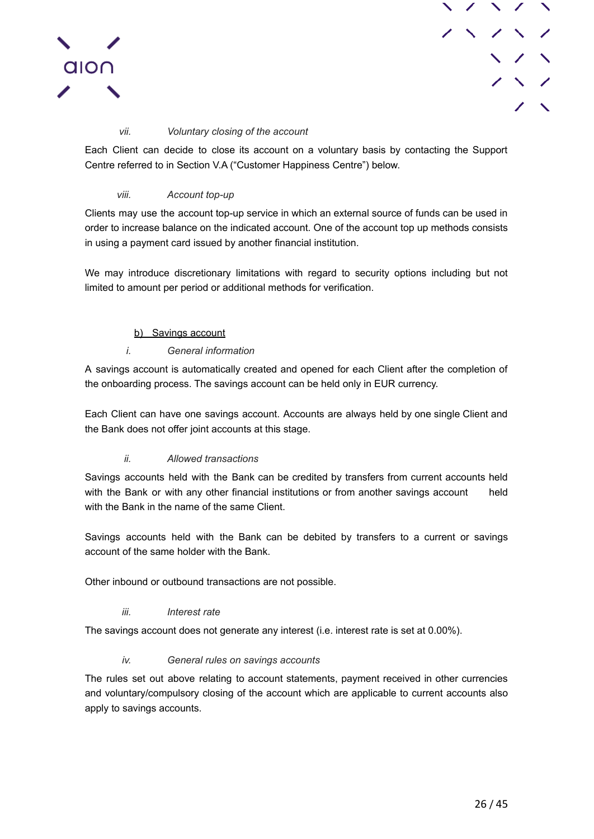



### *vii. Voluntary closing of the account*

<span id="page-25-0"></span>Each Client can decide to close its account on a voluntary basis by contacting the Support Centre referred to in Section V.A ("Customer Happiness Centre") below.

### *viii. Account top-up*

<span id="page-25-1"></span>Clients may use the account top-up service in which an external source of funds can be used in order to increase balance on the indicated account. One of the account top up methods consists in using a payment card issued by another financial institution.

We may introduce discretionary limitations with regard to security options including but not limited to amount per period or additional methods for verification.

### b) Savings account

### *i. General information*

<span id="page-25-3"></span><span id="page-25-2"></span>A savings account is automatically created and opened for each Client after the completion of the onboarding process. The savings account can be held only in EUR currency.

Each Client can have one savings account. Accounts are always held by one single Client and the Bank does not offer joint accounts at this stage.

### *ii. Allowed transactions*

<span id="page-25-4"></span>Savings accounts held with the Bank can be credited by transfers from current accounts held with the Bank or with any other financial institutions or from another savings account held with the Bank in the name of the same Client.

Savings accounts held with the Bank can be debited by transfers to a current or savings account of the same holder with the Bank.

Other inbound or outbound transactions are not possible.

### *iii. Interest rate*

<span id="page-25-5"></span>The savings account does not generate any interest (i.e. interest rate is set at 0.00%).

### *iv. General rules on savings accounts*

<span id="page-25-6"></span>The rules set out above relating to account statements, payment received in other currencies and voluntary/compulsory closing of the account which are applicable to current accounts also apply to savings accounts.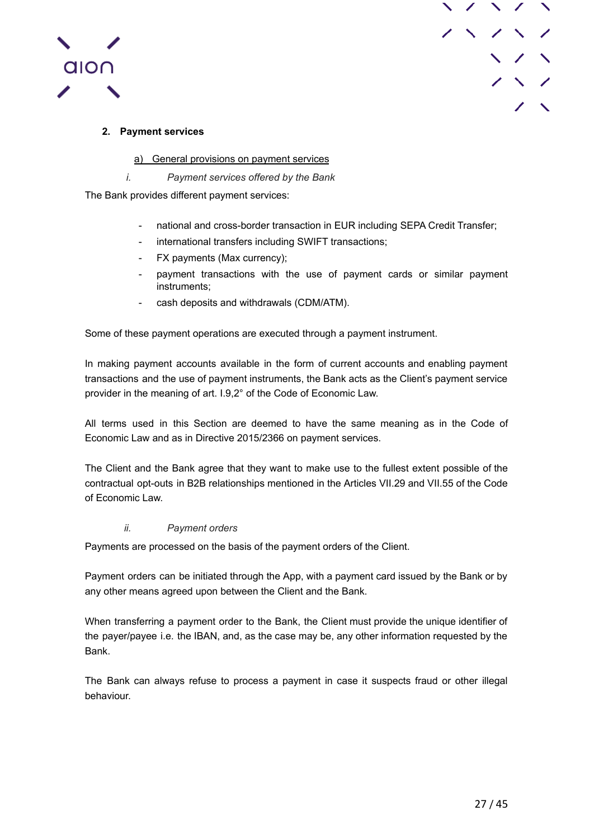



## <span id="page-26-0"></span>**2. Payment services**

a) General provisions on payment services

*i. Payment services offered by the Bank*

<span id="page-26-2"></span><span id="page-26-1"></span>The Bank provides different payment services:

- national and cross-border transaction in EUR including SEPA Credit Transfer;
- international transfers including SWIFT transactions;
- FX payments (Max currency);
- payment transactions with the use of payment cards or similar payment instruments;
- cash deposits and withdrawals (CDM/ATM).

Some of these payment operations are executed through a payment instrument.

In making payment accounts available in the form of current accounts and enabling payment transactions and the use of payment instruments, the Bank acts as the Client's payment service provider in the meaning of art. I.9,2° of the Code of Economic Law.

All terms used in this Section are deemed to have the same meaning as in the Code of Economic Law and as in Directive 2015/2366 on payment services.

The Client and the Bank agree that they want to make use to the fullest extent possible of the contractual opt-outs in B2B relationships mentioned in the Articles VII.29 and VII.55 of the Code of Economic Law.

### *ii. Payment orders*

<span id="page-26-3"></span>Payments are processed on the basis of the payment orders of the Client.

Payment orders can be initiated through the App, with a payment card issued by the Bank or by any other means agreed upon between the Client and the Bank.

When transferring a payment order to the Bank, the Client must provide the unique identifier of the payer/payee i.e. the IBAN, and, as the case may be, any other information requested by the Bank.

The Bank can always refuse to process a payment in case it suspects fraud or other illegal behaviour.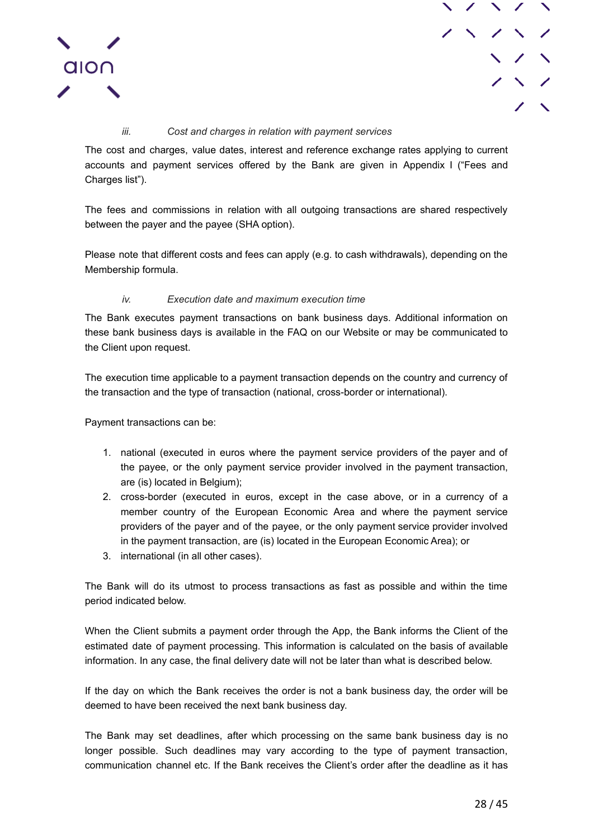



### *iii. Cost and charges in relation with payment services*

<span id="page-27-0"></span>The cost and charges, value dates, interest and reference exchange rates applying to current accounts and payment services offered by the Bank are given in Appendix I ("Fees and Charges list").

The fees and commissions in relation with all outgoing transactions are shared respectively between the payer and the payee (SHA option).

Please note that different costs and fees can apply (e.g. to cash withdrawals), depending on the Membership formula.

### *iv. Execution date and maximum execution time*

<span id="page-27-1"></span>The Bank executes payment transactions on bank business days. Additional information on these bank business days is available in the FAQ on our Website or may be communicated to the Client upon request.

The execution time applicable to a payment transaction depends on the country and currency of the transaction and the type of transaction (national, cross-border or international).

Payment transactions can be:

- 1. national (executed in euros where the payment service providers of the payer and of the payee, or the only payment service provider involved in the payment transaction, are (is) located in Belgium);
- 2. cross-border (executed in euros, except in the case above, or in a currency of a member country of the European Economic Area and where the payment service providers of the payer and of the payee, or the only payment service provider involved in the payment transaction, are (is) located in the European Economic Area); or
- 3. international (in all other cases).

The Bank will do its utmost to process transactions as fast as possible and within the time period indicated below.

When the Client submits a payment order through the App, the Bank informs the Client of the estimated date of payment processing. This information is calculated on the basis of available information. In any case, the final delivery date will not be later than what is described below.

If the day on which the Bank receives the order is not a bank business day, the order will be deemed to have been received the next bank business day.

The Bank may set deadlines, after which processing on the same bank business day is no longer possible. Such deadlines may vary according to the type of payment transaction, communication channel etc. If the Bank receives the Client's order after the deadline as it has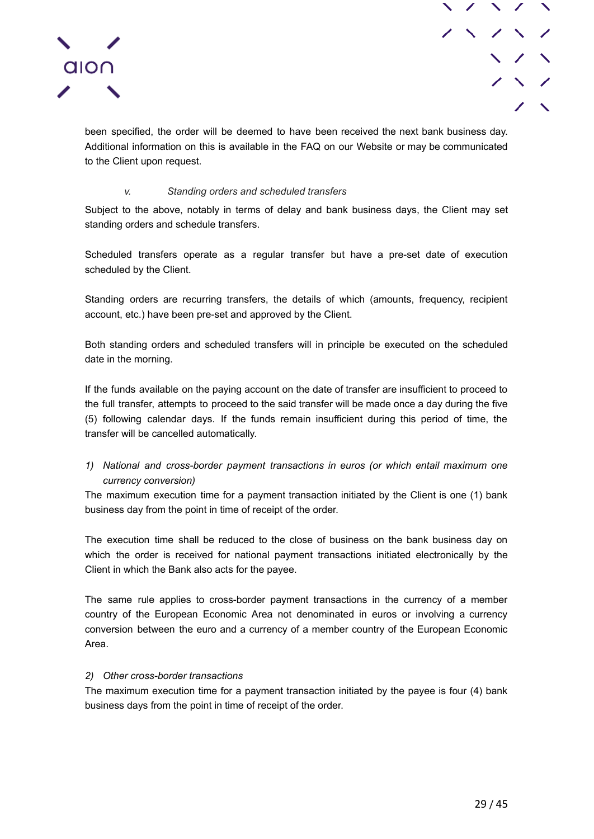

been specified, the order will be deemed to have been received the next bank business day. Additional information on this is available in the FAQ on our Website or may be communicated to the Client upon request.

### *v. Standing orders and scheduled transfers*

<span id="page-28-0"></span>Subject to the above, notably in terms of delay and bank business days, the Client may set standing orders and schedule transfers.

Scheduled transfers operate as a regular transfer but have a pre-set date of execution scheduled by the Client.

Standing orders are recurring transfers, the details of which (amounts, frequency, recipient account, etc.) have been pre-set and approved by the Client.

Both standing orders and scheduled transfers will in principle be executed on the scheduled date in the morning.

If the funds available on the paying account on the date of transfer are insufficient to proceed to the full transfer, attempts to proceed to the said transfer will be made once a day during the five (5) following calendar days. If the funds remain insufficient during this period of time, the transfer will be cancelled automatically.

## *1) National and cross-border payment transactions in euros (or which entail maximum one currency conversion)*

The maximum execution time for a payment transaction initiated by the Client is one (1) bank business day from the point in time of receipt of the order.

The execution time shall be reduced to the close of business on the bank business day on which the order is received for national payment transactions initiated electronically by the Client in which the Bank also acts for the payee.

The same rule applies to cross-border payment transactions in the currency of a member country of the European Economic Area not denominated in euros or involving a currency conversion between the euro and a currency of a member country of the European Economic Area.

### *2) Other cross-border transactions*

The maximum execution time for a payment transaction initiated by the payee is four (4) bank business days from the point in time of receipt of the order.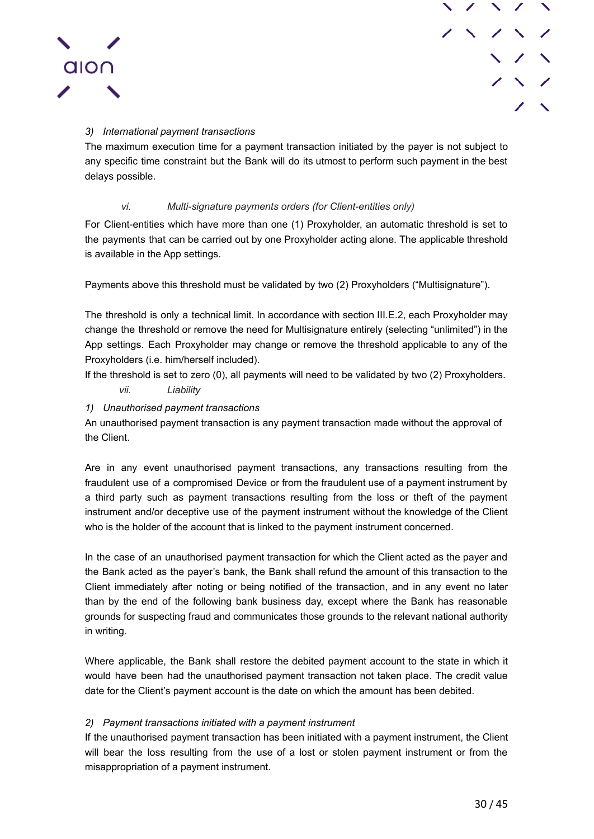



## *3) International payment transactions*

The maximum execution time for a payment transaction initiated by the payer is not subject to any specific time constraint but the Bank will do its utmost to perform such payment in the best delays possible.

## *vi. Multi-signature payments orders (for Client-entities only)*

<span id="page-29-0"></span>For Client-entities which have more than one (1) Proxyholder, an automatic threshold is set to the payments that can be carried out by one Proxyholder acting alone. The applicable threshold is available in the App settings.

Payments above this threshold must be validated by two (2) Proxyholders ("Multisignature").

The threshold is only a technical limit. In accordance with section III.E.2, each Proxyholder may change the threshold or remove the need for Multisignature entirely (selecting "unlimited") in the App settings. Each Proxyholder may change or remove the threshold applicable to any of the Proxyholders (i.e. him/herself included).

<span id="page-29-1"></span>If the threshold is set to zero (0), all payments will need to be validated by two (2) Proxyholders.

- *vii. Liability*
- *1) Unauthorised payment transactions*

An unauthorised payment transaction is any payment transaction made without the approval of the Client.

Are in any event unauthorised payment transactions, any transactions resulting from the fraudulent use of a compromised Device or from the fraudulent use of a payment instrument by a third party such as payment transactions resulting from the loss or theft of the payment instrument and/or deceptive use of the payment instrument without the knowledge of the Client who is the holder of the account that is linked to the payment instrument concerned.

In the case of an unauthorised payment transaction for which the Client acted as the payer and the Bank acted as the payer's bank, the Bank shall refund the amount of this transaction to the Client immediately after noting or being notified of the transaction, and in any event no later than by the end of the following bank business day, except where the Bank has reasonable grounds for suspecting fraud and communicates those grounds to the relevant national authority in writing.

Where applicable, the Bank shall restore the debited payment account to the state in which it would have been had the unauthorised payment transaction not taken place. The credit value date for the Client's payment account is the date on which the amount has been debited.

### *2) Payment transactions initiated with a payment instrument*

If the unauthorised payment transaction has been initiated with a payment instrument, the Client will bear the loss resulting from the use of a lost or stolen payment instrument or from the misappropriation of a payment instrument.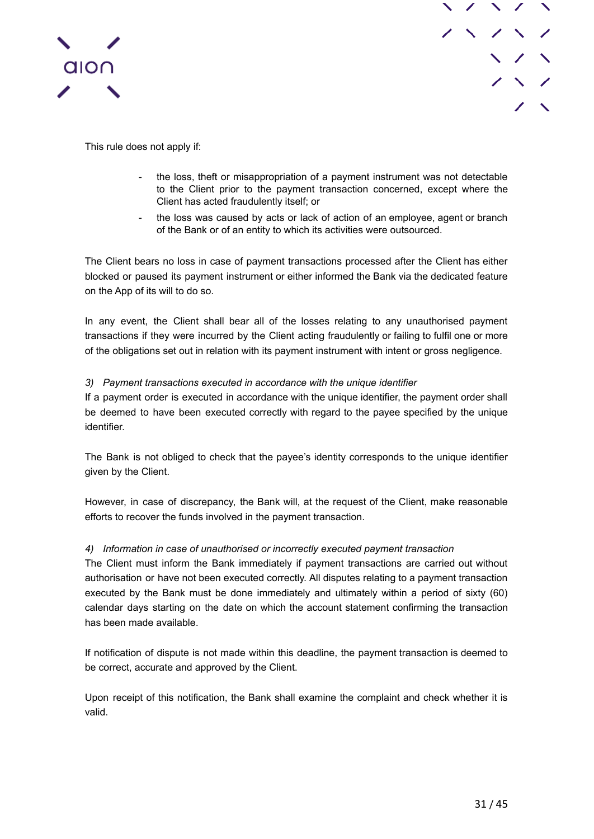



This rule does not apply if:

- the loss, theft or misappropriation of a payment instrument was not detectable to the Client prior to the payment transaction concerned, except where the Client has acted fraudulently itself; or
- the loss was caused by acts or lack of action of an employee, agent or branch of the Bank or of an entity to which its activities were outsourced.

The Client bears no loss in case of payment transactions processed after the Client has either blocked or paused its payment instrument or either informed the Bank via the dedicated feature on the App of its will to do so.

In any event, the Client shall bear all of the losses relating to any unauthorised payment transactions if they were incurred by the Client acting fraudulently or failing to fulfil one or more of the obligations set out in relation with its payment instrument with intent or gross negligence.

### *3) Payment transactions executed in accordance with the unique identifier*

If a payment order is executed in accordance with the unique identifier, the payment order shall be deemed to have been executed correctly with regard to the payee specified by the unique identifier.

The Bank is not obliged to check that the payee's identity corresponds to the unique identifier given by the Client.

However, in case of discrepancy, the Bank will, at the request of the Client, make reasonable efforts to recover the funds involved in the payment transaction.

### *4) Information in case of unauthorised or incorrectly executed payment transaction*

The Client must inform the Bank immediately if payment transactions are carried out without authorisation or have not been executed correctly. All disputes relating to a payment transaction executed by the Bank must be done immediately and ultimately within a period of sixty (60) calendar days starting on the date on which the account statement confirming the transaction has been made available.

If notification of dispute is not made within this deadline, the payment transaction is deemed to be correct, accurate and approved by the Client.

Upon receipt of this notification, the Bank shall examine the complaint and check whether it is valid.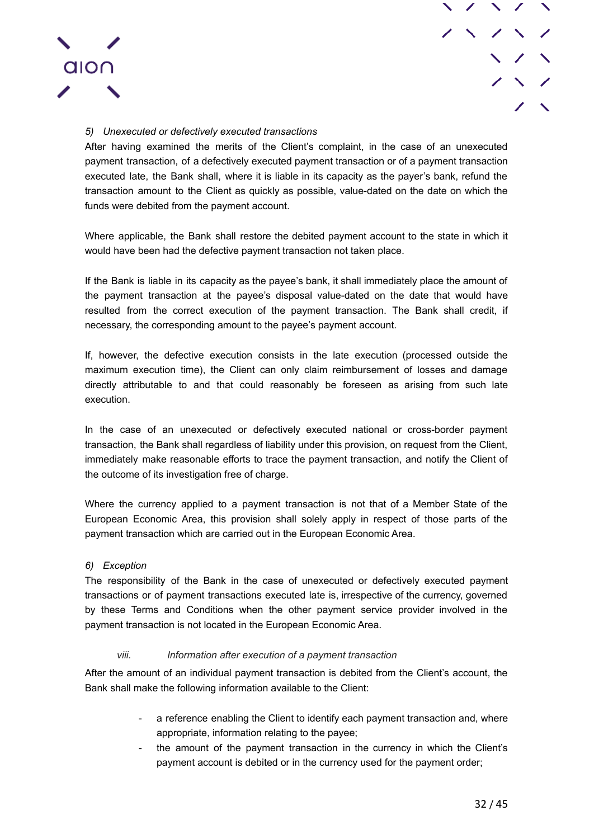

## *5) Unexecuted or defectively executed transactions*

After having examined the merits of the Client's complaint, in the case of an unexecuted payment transaction, of a defectively executed payment transaction or of a payment transaction executed late, the Bank shall, where it is liable in its capacity as the payer's bank, refund the transaction amount to the Client as quickly as possible, value-dated on the date on which the funds were debited from the payment account.

Where applicable, the Bank shall restore the debited payment account to the state in which it would have been had the defective payment transaction not taken place.

If the Bank is liable in its capacity as the payee's bank, it shall immediately place the amount of the payment transaction at the payee's disposal value-dated on the date that would have resulted from the correct execution of the payment transaction. The Bank shall credit, if necessary, the corresponding amount to the payee's payment account.

If, however, the defective execution consists in the late execution (processed outside the maximum execution time), the Client can only claim reimbursement of losses and damage directly attributable to and that could reasonably be foreseen as arising from such late execution.

In the case of an unexecuted or defectively executed national or cross-border payment transaction, the Bank shall regardless of liability under this provision, on request from the Client, immediately make reasonable efforts to trace the payment transaction, and notify the Client of the outcome of its investigation free of charge.

Where the currency applied to a payment transaction is not that of a Member State of the European Economic Area, this provision shall solely apply in respect of those parts of the payment transaction which are carried out in the European Economic Area.

### *6) Exception*

The responsibility of the Bank in the case of unexecuted or defectively executed payment transactions or of payment transactions executed late is, irrespective of the currency, governed by these Terms and Conditions when the other payment service provider involved in the payment transaction is not located in the European Economic Area.

#### *viii. Information after execution of a payment transaction*

<span id="page-31-0"></span>After the amount of an individual payment transaction is debited from the Client's account, the Bank shall make the following information available to the Client:

- a reference enabling the Client to identify each payment transaction and, where appropriate, information relating to the payee;
- the amount of the payment transaction in the currency in which the Client's payment account is debited or in the currency used for the payment order;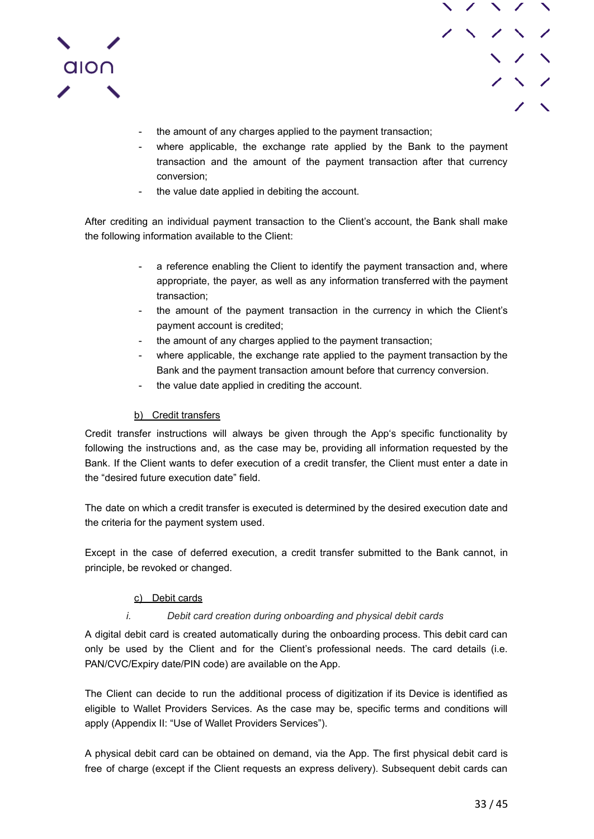



- the amount of any charges applied to the payment transaction;
- where applicable, the exchange rate applied by the Bank to the payment transaction and the amount of the payment transaction after that currency conversion;
- the value date applied in debiting the account.

After crediting an individual payment transaction to the Client's account, the Bank shall make the following information available to the Client:

- a reference enabling the Client to identify the payment transaction and, where appropriate, the payer, as well as any information transferred with the payment transaction;
- the amount of the payment transaction in the currency in which the Client's payment account is credited;
- the amount of any charges applied to the payment transaction;
- where applicable, the exchange rate applied to the payment transaction by the Bank and the payment transaction amount before that currency conversion.
- the value date applied in crediting the account.

## b) Credit transfers

<span id="page-32-0"></span>Credit transfer instructions will always be given through the App's specific functionality by following the instructions and, as the case may be, providing all information requested by the Bank. If the Client wants to defer execution of a credit transfer, the Client must enter a date in the "desired future execution date" field.

The date on which a credit transfer is executed is determined by the desired execution date and the criteria for the payment system used.

Except in the case of deferred execution, a credit transfer submitted to the Bank cannot, in principle, be revoked or changed.

### c) Debit cards

### *i. Debit card creation during onboarding and physical debit cards*

<span id="page-32-2"></span><span id="page-32-1"></span>A digital debit card is created automatically during the onboarding process. This debit card can only be used by the Client and for the Client's professional needs. The card details (i.e. PAN/CVC/Expiry date/PIN code) are available on the App.

The Client can decide to run the additional process of digitization if its Device is identified as eligible to Wallet Providers Services. As the case may be, specific terms and conditions will apply (Appendix II: "Use of Wallet Providers Services").

A physical debit card can be obtained on demand, via the App. The first physical debit card is free of charge (except if the Client requests an express delivery). Subsequent debit cards can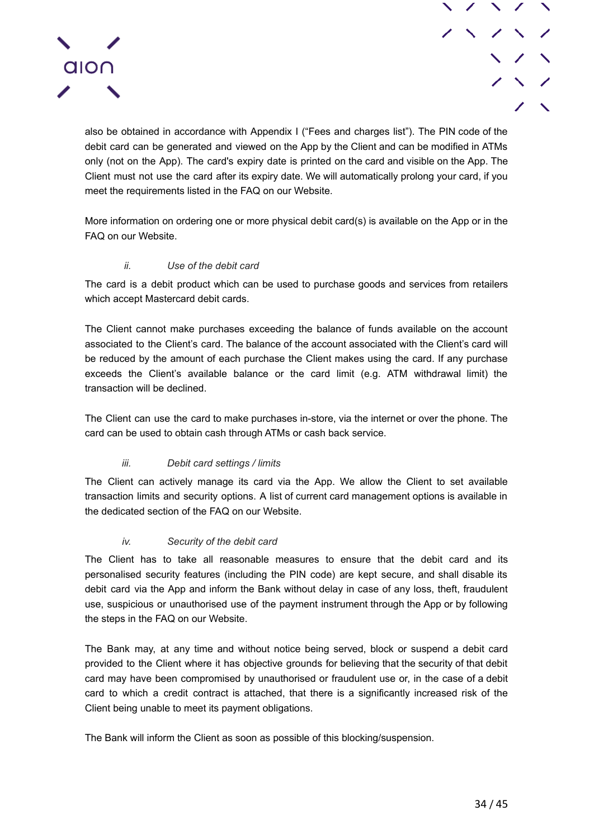

also be obtained in accordance with Appendix I ("Fees and charges list"). The PIN code of the debit card can be generated and viewed on the App by the Client and can be modified in ATMs only (not on the App). The card's expiry date is printed on the card and visible on the App. The Client must not use the card after its expiry date. We will automatically prolong your card, if you meet the requirements listed in the FAQ on our Website.

More information on ordering one or more physical debit card(s) is available on the App or in the FAQ on our Website.

### *ii. Use of the debit card*

<span id="page-33-0"></span>The card is a debit product which can be used to purchase goods and services from retailers which accept Mastercard debit cards.

The Client cannot make purchases exceeding the balance of funds available on the account associated to the Client's card. The balance of the account associated with the Client's card will be reduced by the amount of each purchase the Client makes using the card. If any purchase exceeds the Client's available balance or the card limit (e.g. ATM withdrawal limit) the transaction will be declined.

The Client can use the card to make purchases in-store, via the internet or over the phone. The card can be used to obtain cash through ATMs or cash back service.

### *iii. Debit card settings / limits*

<span id="page-33-1"></span>The Client can actively manage its card via the App. We allow the Client to set available transaction limits and security options. A list of current card management options is available in the dedicated section of the FAQ on our Website.

### *iv. Security of the debit card*

<span id="page-33-2"></span>The Client has to take all reasonable measures to ensure that the debit card and its personalised security features (including the PIN code) are kept secure, and shall disable its debit card via the App and inform the Bank without delay in case of any loss, theft, fraudulent use, suspicious or unauthorised use of the payment instrument through the App or by following the steps in the FAQ on our Website.

The Bank may, at any time and without notice being served, block or suspend a debit card provided to the Client where it has objective grounds for believing that the security of that debit card may have been compromised by unauthorised or fraudulent use or, in the case of a debit card to which a credit contract is attached, that there is a significantly increased risk of the Client being unable to meet its payment obligations.

The Bank will inform the Client as soon as possible of this blocking/suspension.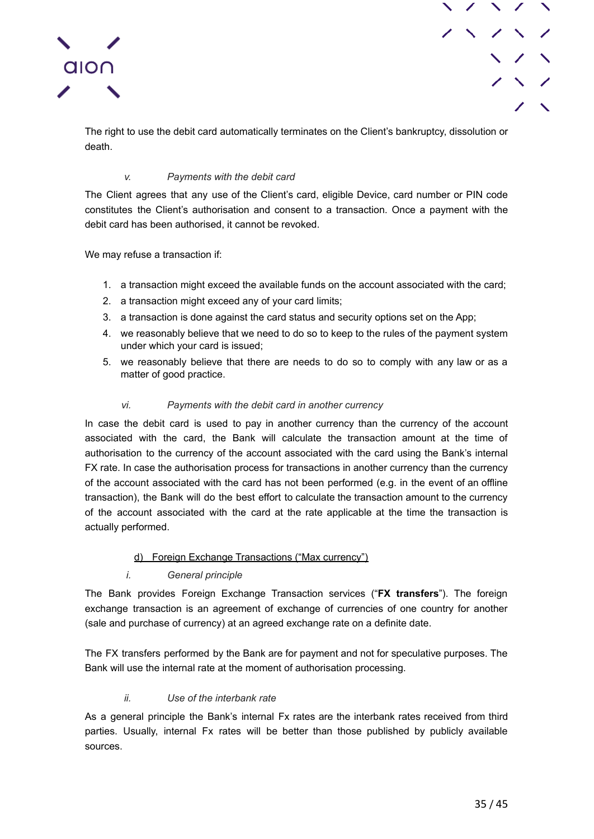



The right to use the debit card automatically terminates on the Client's bankruptcy, dissolution or death.

### *v. Payments with the debit card*

<span id="page-34-0"></span>The Client agrees that any use of the Client's card, eligible Device, card number or PIN code constitutes the Client's authorisation and consent to a transaction. Once a payment with the debit card has been authorised, it cannot be revoked.

We may refuse a transaction if:

- 1. a transaction might exceed the available funds on the account associated with the card;
- 2. a transaction might exceed any of your card limits;
- 3. a transaction is done against the card status and security options set on the App;
- 4. we reasonably believe that we need to do so to keep to the rules of the payment system under which your card is issued;
- 5. we reasonably believe that there are needs to do so to comply with any law or as a matter of good practice.

### *vi. Payments with the debit card in another currency*

<span id="page-34-1"></span>In case the debit card is used to pay in another currency than the currency of the account associated with the card, the Bank will calculate the transaction amount at the time of authorisation to the currency of the account associated with the card using the Bank's internal FX rate. In case the authorisation process for transactions in another currency than the currency of the account associated with the card has not been performed (e.g. in the event of an offline transaction), the Bank will do the best effort to calculate the transaction amount to the currency of the account associated with the card at the rate applicable at the time the transaction is actually performed.

### d) Foreign Exchange Transactions ("Max currency")

### *i. General principle*

<span id="page-34-3"></span><span id="page-34-2"></span>The Bank provides Foreign Exchange Transaction services ("**FX transfers**"). The foreign exchange transaction is an agreement of exchange of currencies of one country for another (sale and purchase of currency) at an agreed exchange rate on a definite date.

The FX transfers performed by the Bank are for payment and not for speculative purposes. The Bank will use the internal rate at the moment of authorisation processing.

### *ii. Use of the interbank rate*

<span id="page-34-4"></span>As a general principle the Bank's internal Fx rates are the interbank rates received from third parties. Usually, internal Fx rates will be better than those published by publicly available sources.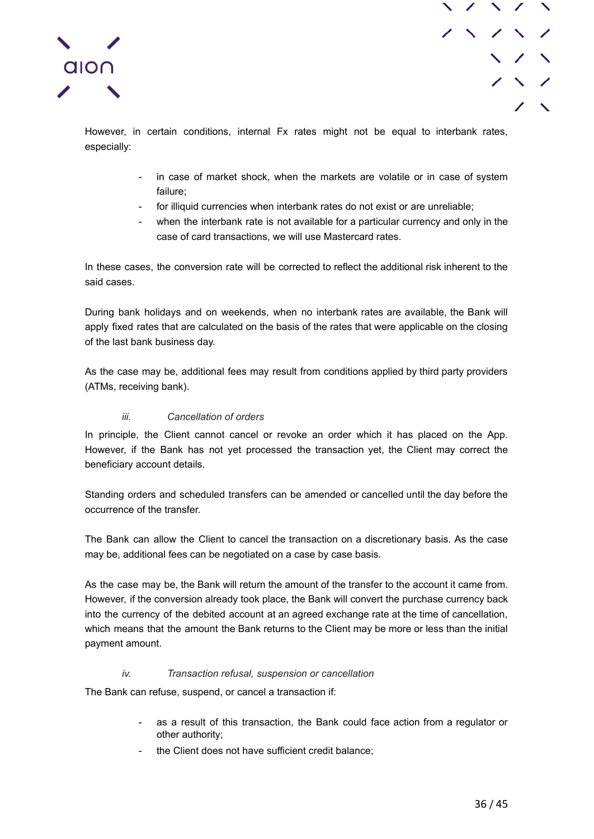



However, in certain conditions, internal Fx rates might not be equal to interbank rates, especially:

- in case of market shock, when the markets are volatile or in case of system failure;
- for illiquid currencies when interbank rates do not exist or are unreliable;
- when the interbank rate is not available for a particular currency and only in the case of card transactions, we will use Mastercard rates.

In these cases, the conversion rate will be corrected to reflect the additional risk inherent to the said cases.

During bank holidays and on weekends, when no interbank rates are available, the Bank will apply fixed rates that are calculated on the basis of the rates that were applicable on the closing of the last bank business day.

As the case may be, additional fees may result from conditions applied by third party providers (ATMs, receiving bank).

## *iii. Cancellation of orders*

<span id="page-35-0"></span>In principle, the Client cannot cancel or revoke an order which it has placed on the App. However, if the Bank has not yet processed the transaction yet, the Client may correct the beneficiary account details.

Standing orders and scheduled transfers can be amended or cancelled until the day before the occurrence of the transfer.

The Bank can allow the Client to cancel the transaction on a discretionary basis. As the case may be, additional fees can be negotiated on a case by case basis.

As the case may be, the Bank will return the amount of the transfer to the account it came from. However, if the conversion already took place, the Bank will convert the purchase currency back into the currency of the debited account at an agreed exchange rate at the time of cancellation, which means that the amount the Bank returns to the Client may be more or less than the initial payment amount.

### *iv. Transaction refusal, suspension or cancellation*

<span id="page-35-1"></span>The Bank can refuse, suspend, or cancel a transaction if:

- as a result of this transaction, the Bank could face action from a regulator or other authority;
- the Client does not have sufficient credit balance: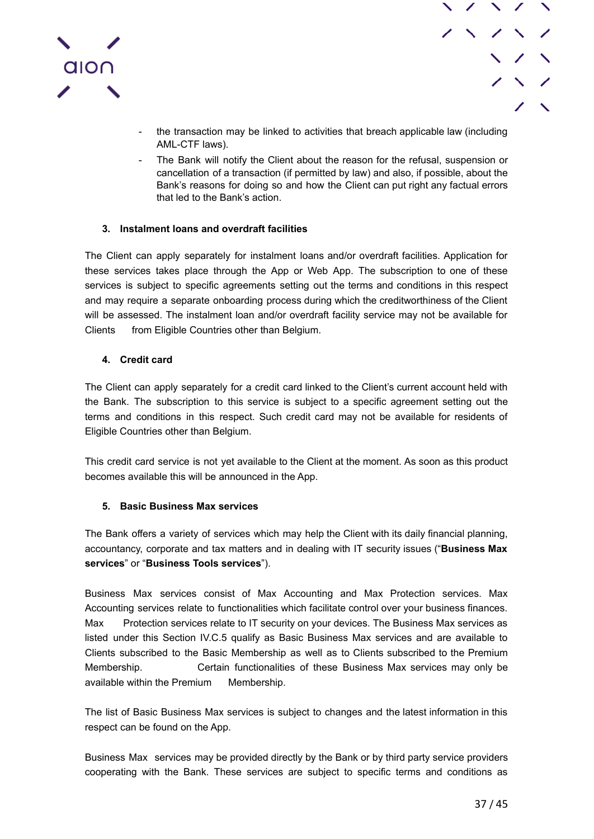

- 
- the transaction may be linked to activities that breach applicable law (including AML-CTF laws).
- The Bank will notify the Client about the reason for the refusal, suspension or cancellation of a transaction (if permitted by law) and also, if possible, about the Bank's reasons for doing so and how the Client can put right any factual errors that led to the Bank's action.

## **3. Instalment loans and overdraft facilities**

<span id="page-36-0"></span>The Client can apply separately for instalment loans and/or overdraft facilities. Application for these services takes place through the App or Web App. The subscription to one of these services is subject to specific agreements setting out the terms and conditions in this respect and may require a separate onboarding process during which the creditworthiness of the Client will be assessed. The instalment loan and/or overdraft facility service may not be available for Clients from Eligible Countries other than Belgium.

## **4. Credit card**

<span id="page-36-1"></span>The Client can apply separately for a credit card linked to the Client's current account held with the Bank. The subscription to this service is subject to a specific agreement setting out the terms and conditions in this respect. Such credit card may not be available for residents of Eligible Countries other than Belgium.

This credit card service is not yet available to the Client at the moment. As soon as this product becomes available this will be announced in the App.

## **5. Basic Business Max services**

<span id="page-36-2"></span>The Bank offers a variety of services which may help the Client with its daily financial planning, accountancy, corporate and tax matters and in dealing with IT security issues ("**Business Max services**" or "**Business Tools services**").

Business Max services consist of Max Accounting and Max Protection services. Max Accounting services relate to functionalities which facilitate control over your business finances. Max Protection services relate to IT security on your devices. The Business Max services as listed under this Section IV.C.5 qualify as Basic Business Max services and are available to Clients subscribed to the Basic Membership as well as to Clients subscribed to the Premium Membership. Certain functionalities of these Business Max services may only be available within the Premium Membership.

The list of Basic Business Max services is subject to changes and the latest information in this respect can be found on the App.

Business Max services may be provided directly by the Bank or by third party service providers cooperating with the Bank. These services are subject to specific terms and conditions as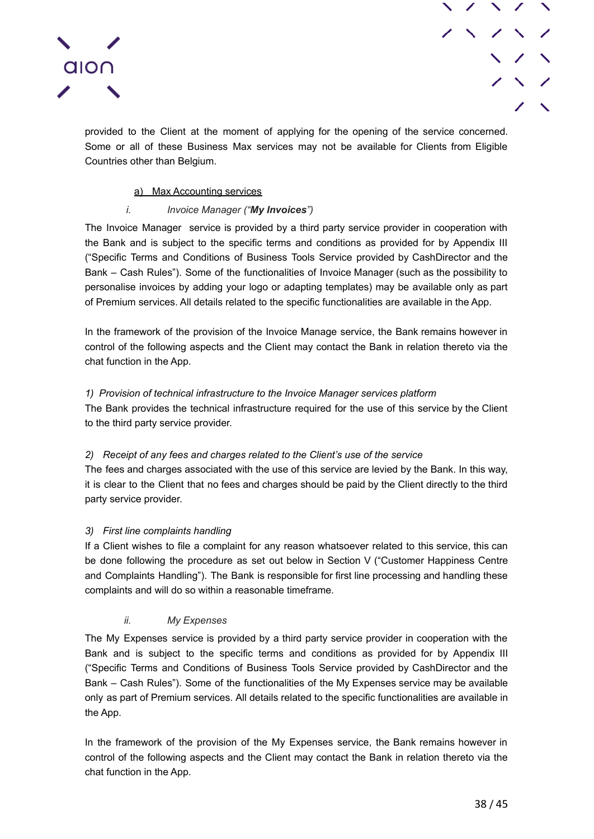

provided to the Client at the moment of applying for the opening of the service concerned. Some or all of these Business Max services may not be available for Clients from Eligible Countries other than Belgium.

### a) Max Accounting services

## *i. Invoice Manager ("My Invoices")*

<span id="page-37-1"></span><span id="page-37-0"></span>The Invoice Manager service is provided by a third party service provider in cooperation with the Bank and is subject to the specific terms and conditions as provided for by Appendix III ("Specific Terms and Conditions of Business Tools Service provided by CashDirector and the Bank – Cash Rules"). Some of the functionalities of Invoice Manager (such as the possibility to personalise invoices by adding your logo or adapting templates) may be available only as part of Premium services. All details related to the specific functionalities are available in the App.

In the framework of the provision of the Invoice Manage service, the Bank remains however in control of the following aspects and the Client may contact the Bank in relation thereto via the chat function in the App.

## *1) Provision of technical infrastructure to the Invoice Manager services platform*

The Bank provides the technical infrastructure required for the use of this service by the Client to the third party service provider.

### *2) Receipt of any fees and charges related to the Client's use of the service*

The fees and charges associated with the use of this service are levied by the Bank. In this way, it is clear to the Client that no fees and charges should be paid by the Client directly to the third party service provider.

### *3) First line complaints handling*

If a Client wishes to file a complaint for any reason whatsoever related to this service, this can be done following the procedure as set out below in Section V ("Customer Happiness Centre and Complaints Handling"). The Bank is responsible for first line processing and handling these complaints and will do so within a reasonable timeframe.

### *ii. My Expenses*

<span id="page-37-2"></span>The My Expenses service is provided by a third party service provider in cooperation with the Bank and is subject to the specific terms and conditions as provided for by Appendix III ("Specific Terms and Conditions of Business Tools Service provided by CashDirector and the Bank – Cash Rules"). Some of the functionalities of the My Expenses service may be available only as part of Premium services. All details related to the specific functionalities are available in the App.

In the framework of the provision of the My Expenses service, the Bank remains however in control of the following aspects and the Client may contact the Bank in relation thereto via the chat function in the App.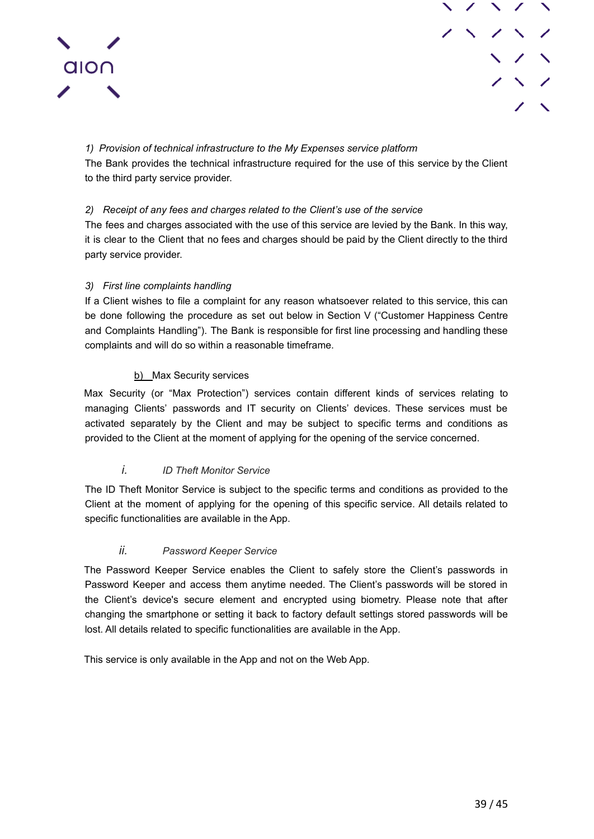



*1) Provision of technical infrastructure to the My Expenses service platform* The Bank provides the technical infrastructure required for the use of this service by the Client to the third party service provider.

## *2) Receipt of any fees and charges related to the Client's use of the service*

The fees and charges associated with the use of this service are levied by the Bank. In this way, it is clear to the Client that no fees and charges should be paid by the Client directly to the third party service provider.

## *3) First line complaints handling*

If a Client wishes to file a complaint for any reason whatsoever related to this service, this can be done following the procedure as set out below in Section V ("Customer Happiness Centre and Complaints Handling"). The Bank is responsible for first line processing and handling these complaints and will do so within a reasonable timeframe.

## b) Max Security services

<span id="page-38-0"></span>Max Security (or "Max Protection") services contain different kinds of services relating to managing Clients' passwords and IT security on Clients' devices. These services must be activated separately by the Client and may be subject to specific terms and conditions as provided to the Client at the moment of applying for the opening of the service concerned.

## *i. ID Theft Monitor Service*

<span id="page-38-1"></span>The ID Theft Monitor Service is subject to the specific terms and conditions as provided to the Client at the moment of applying for the opening of this specific service. All details related to specific functionalities are available in the App.

## *ii. Password Keeper Service*

<span id="page-38-2"></span>The Password Keeper Service enables the Client to safely store the Client's passwords in Password Keeper and access them anytime needed. The Client's passwords will be stored in the Client's device's secure element and encrypted using biometry. Please note that after changing the smartphone or setting it back to factory default settings stored passwords will be lost. All details related to specific functionalities are available in the App.

This service is only available in the App and not on the Web App.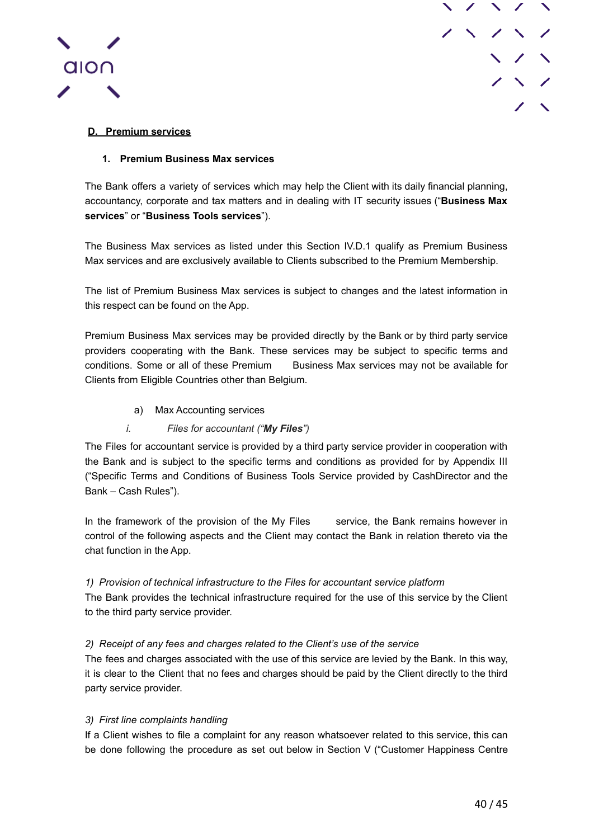



## <span id="page-39-0"></span>**D. Premium services**

## **1. Premium Business Max services**

<span id="page-39-1"></span>The Bank offers a variety of services which may help the Client with its daily financial planning, accountancy, corporate and tax matters and in dealing with IT security issues ("**Business Max services**" or "**Business Tools services**").

The Business Max services as listed under this Section IV.D.1 qualify as Premium Business Max services and are exclusively available to Clients subscribed to the Premium Membership.

The list of Premium Business Max services is subject to changes and the latest information in this respect can be found on the App.

Premium Business Max services may be provided directly by the Bank or by third party service providers cooperating with the Bank. These services may be subject to specific terms and conditions. Some or all of these Premium Business Max services may not be available for Clients from Eligible Countries other than Belgium.

a) Max Accounting services

## *i. Files for accountant ("My Files")*

<span id="page-39-3"></span><span id="page-39-2"></span>The Files for accountant service is provided by a third party service provider in cooperation with the Bank and is subject to the specific terms and conditions as provided for by Appendix III ("Specific Terms and Conditions of Business Tools Service provided by CashDirector and the Bank – Cash Rules").

In the framework of the provision of the My Files service, the Bank remains however in control of the following aspects and the Client may contact the Bank in relation thereto via the chat function in the App.

*1) Provision of technical infrastructure to the Files for accountant service platform*

The Bank provides the technical infrastructure required for the use of this service by the Client to the third party service provider.

### *2) Receipt of any fees and charges related to the Client's use of the service*

The fees and charges associated with the use of this service are levied by the Bank. In this way, it is clear to the Client that no fees and charges should be paid by the Client directly to the third party service provider.

### *3) First line complaints handling*

If a Client wishes to file a complaint for any reason whatsoever related to this service, this can be done following the procedure as set out below in Section V ("Customer Happiness Centre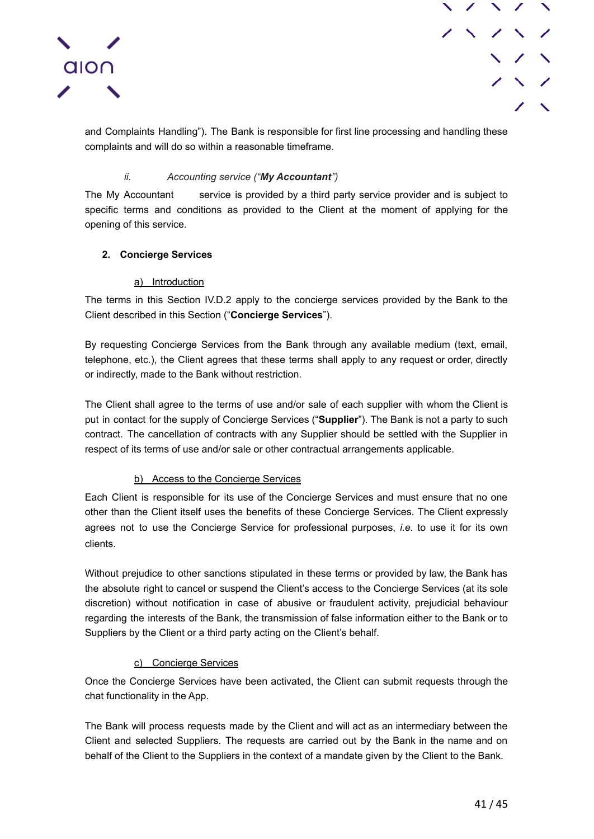



and Complaints Handling"). The Bank is responsible for first line processing and handling these complaints and will do so within a reasonable timeframe.

## *ii. Accounting service ("My Accountant")*

<span id="page-40-0"></span>The My Accountant service is provided by a third party service provider and is subject to specific terms and conditions as provided to the Client at the moment of applying for the opening of this service.

## <span id="page-40-1"></span>**2. Concierge Services**

### a) Introduction

<span id="page-40-2"></span>The terms in this Section IV.D.2 apply to the concierge services provided by the Bank to the Client described in this Section ("**Concierge Services**").

By requesting Concierge Services from the Bank through any available medium (text, email, telephone, etc.), the Client agrees that these terms shall apply to any request or order, directly or indirectly, made to the Bank without restriction.

The Client shall agree to the terms of use and/or sale of each supplier with whom the Client is put in contact for the supply of Concierge Services ("**Supplier**"). The Bank is not a party to such contract. The cancellation of contracts with any Supplier should be settled with the Supplier in respect of its terms of use and/or sale or other contractual arrangements applicable.

### b) Access to the Concierge Services

<span id="page-40-3"></span>Each Client is responsible for its use of the Concierge Services and must ensure that no one other than the Client itself uses the benefits of these Concierge Services. The Client expressly agrees not to use the Concierge Service for professional purposes, *i.e.* to use it for its own clients.

Without prejudice to other sanctions stipulated in these terms or provided by law, the Bank has the absolute right to cancel or suspend the Client's access to the Concierge Services (at its sole discretion) without notification in case of abusive or fraudulent activity, prejudicial behaviour regarding the interests of the Bank, the transmission of false information either to the Bank or to Suppliers by the Client or a third party acting on the Client's behalf.

## c) Concierge Services

<span id="page-40-4"></span>Once the Concierge Services have been activated, the Client can submit requests through the chat functionality in the App.

The Bank will process requests made by the Client and will act as an intermediary between the Client and selected Suppliers. The requests are carried out by the Bank in the name and on behalf of the Client to the Suppliers in the context of a mandate given by the Client to the Bank.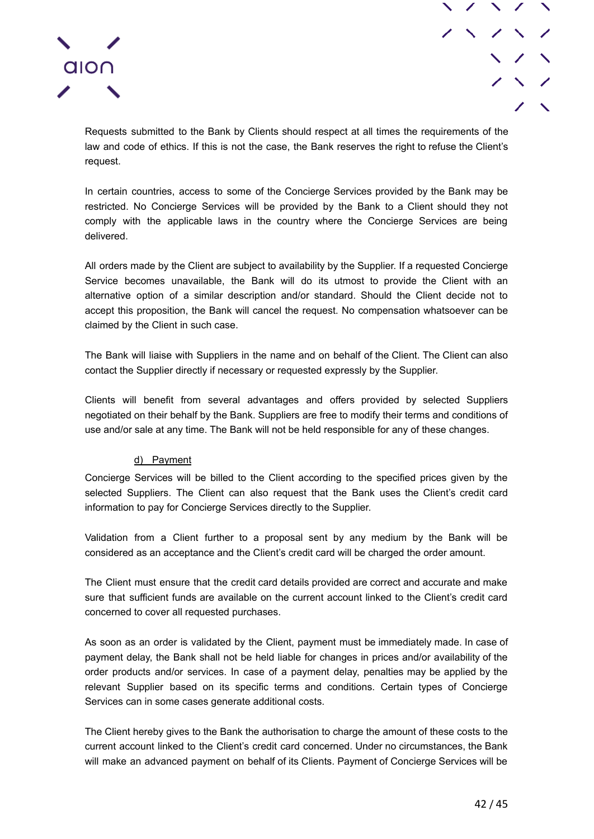



Requests submitted to the Bank by Clients should respect at all times the requirements of the law and code of ethics. If this is not the case, the Bank reserves the right to refuse the Client's request.

In certain countries, access to some of the Concierge Services provided by the Bank may be restricted. No Concierge Services will be provided by the Bank to a Client should they not comply with the applicable laws in the country where the Concierge Services are being delivered.

All orders made by the Client are subject to availability by the Supplier. If a requested Concierge Service becomes unavailable, the Bank will do its utmost to provide the Client with an alternative option of a similar description and/or standard. Should the Client decide not to accept this proposition, the Bank will cancel the request. No compensation whatsoever can be claimed by the Client in such case.

The Bank will liaise with Suppliers in the name and on behalf of the Client. The Client can also contact the Supplier directly if necessary or requested expressly by the Supplier.

Clients will benefit from several advantages and offers provided by selected Suppliers negotiated on their behalf by the Bank. Suppliers are free to modify their terms and conditions of use and/or sale at any time. The Bank will not be held responsible for any of these changes.

### d) Payment

<span id="page-41-0"></span>Concierge Services will be billed to the Client according to the specified prices given by the selected Suppliers. The Client can also request that the Bank uses the Client's credit card information to pay for Concierge Services directly to the Supplier.

Validation from a Client further to a proposal sent by any medium by the Bank will be considered as an acceptance and the Client's credit card will be charged the order amount.

The Client must ensure that the credit card details provided are correct and accurate and make sure that sufficient funds are available on the current account linked to the Client's credit card concerned to cover all requested purchases.

As soon as an order is validated by the Client, payment must be immediately made. In case of payment delay, the Bank shall not be held liable for changes in prices and/or availability of the order products and/or services. In case of a payment delay, penalties may be applied by the relevant Supplier based on its specific terms and conditions. Certain types of Concierge Services can in some cases generate additional costs.

The Client hereby gives to the Bank the authorisation to charge the amount of these costs to the current account linked to the Client's credit card concerned. Under no circumstances, the Bank will make an advanced payment on behalf of its Clients. Payment of Concierge Services will be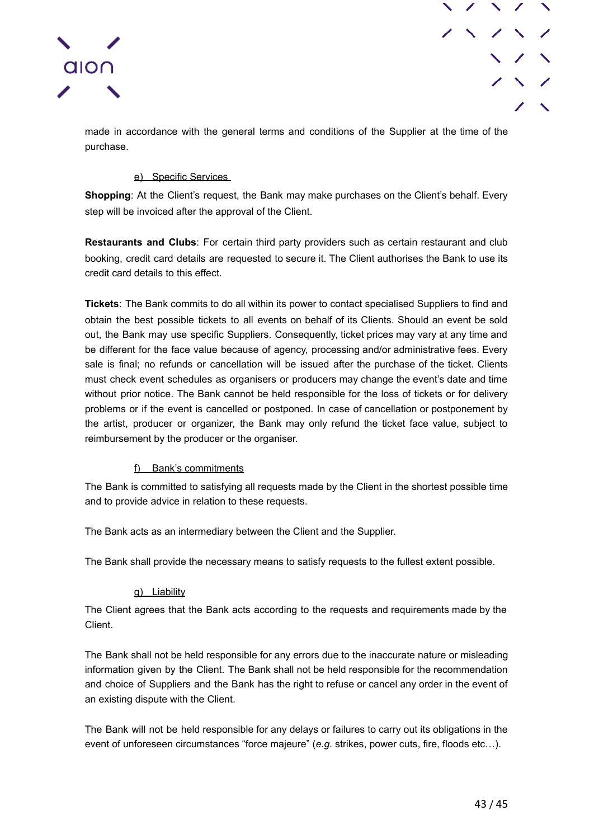



made in accordance with the general terms and conditions of the Supplier at the time of the purchase.

## e) Specific Services

<span id="page-42-0"></span>**Shopping**: At the Client's request, the Bank may make purchases on the Client's behalf. Every step will be invoiced after the approval of the Client.

**Restaurants and Clubs**: For certain third party providers such as certain restaurant and club booking, credit card details are requested to secure it. The Client authorises the Bank to use its credit card details to this effect.

**Tickets**: The Bank commits to do all within its power to contact specialised Suppliers to find and obtain the best possible tickets to all events on behalf of its Clients. Should an event be sold out, the Bank may use specific Suppliers. Consequently, ticket prices may vary at any time and be different for the face value because of agency, processing and/or administrative fees. Every sale is final; no refunds or cancellation will be issued after the purchase of the ticket. Clients must check event schedules as organisers or producers may change the event's date and time without prior notice. The Bank cannot be held responsible for the loss of tickets or for delivery problems or if the event is cancelled or postponed. In case of cancellation or postponement by the artist, producer or organizer, the Bank may only refund the ticket face value, subject to reimbursement by the producer or the organiser.

## f) Bank's commitments

<span id="page-42-1"></span>The Bank is committed to satisfying all requests made by the Client in the shortest possible time and to provide advice in relation to these requests.

The Bank acts as an intermediary between the Client and the Supplier.

The Bank shall provide the necessary means to satisfy requests to the fullest extent possible.

### g) Liability

<span id="page-42-2"></span>The Client agrees that the Bank acts according to the requests and requirements made by the Client.

The Bank shall not be held responsible for any errors due to the inaccurate nature or misleading information given by the Client. The Bank shall not be held responsible for the recommendation and choice of Suppliers and the Bank has the right to refuse or cancel any order in the event of an existing dispute with the Client.

The Bank will not be held responsible for any delays or failures to carry out its obligations in the event of unforeseen circumstances "force majeure" (*e.g.* strikes, power cuts, fire, floods etc…).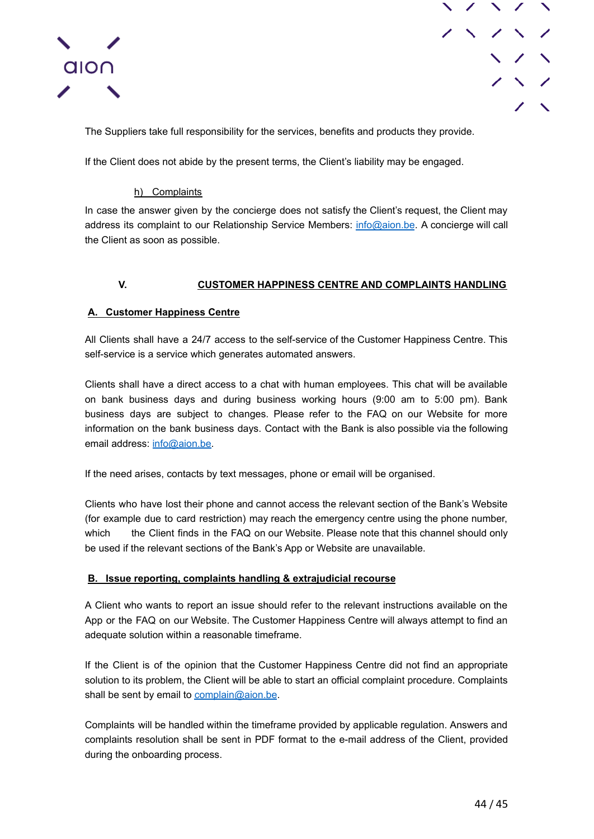



The Suppliers take full responsibility for the services, benefits and products they provide.

If the Client does not abide by the present terms, the Client's liability may be engaged.

## h) Complaints

<span id="page-43-0"></span>In case the answer given by the concierge does not satisfy the Client's request, the Client may address its complaint to our Relationship Service Members: [info@aion.be](mailto:info@aion.be). A concierge will call the Client as soon as possible.

## **V. CUSTOMER HAPPINESS CENTRE AND COMPLAINTS HANDLING**

## <span id="page-43-2"></span><span id="page-43-1"></span>**A. Customer Happiness Centre**

All Clients shall have a 24/7 access to the self-service of the Customer Happiness Centre. This self-service is a service which generates automated answers.

Clients shall have a direct access to a chat with human employees. This chat will be available on bank business days and during business working hours (9:00 am to 5:00 pm). Bank business days are subject to changes. Please refer to the FAQ on our Website for more information on the bank business days. Contact with the Bank is also possible via the following email address: [info@aion.be](mailto:info@aion.be).

If the need arises, contacts by text messages, phone or email will be organised.

Clients who have lost their phone and cannot access the relevant section of the Bank's Website (for example due to card restriction) may reach the emergency centre using the phone number, which the Client finds in the FAQ on our Website. Please note that this channel should only be used if the relevant sections of the Bank's App or Website are unavailable.

## <span id="page-43-3"></span>**B. Issue reporting, complaints handling & extrajudicial recourse**

A Client who wants to report an issue should refer to the relevant instructions available on the App or the FAQ on our Website. The Customer Happiness Centre will always attempt to find an adequate solution within a reasonable timeframe.

If the Client is of the opinion that the Customer Happiness Centre did not find an appropriate solution to its problem, the Client will be able to start an official complaint procedure. Complaints shall be sent by email to [complain@aion.be](mailto:complain@aion.be).

Complaints will be handled within the timeframe provided by applicable regulation. Answers and complaints resolution shall be sent in PDF format to the e-mail address of the Client, provided during the onboarding process.